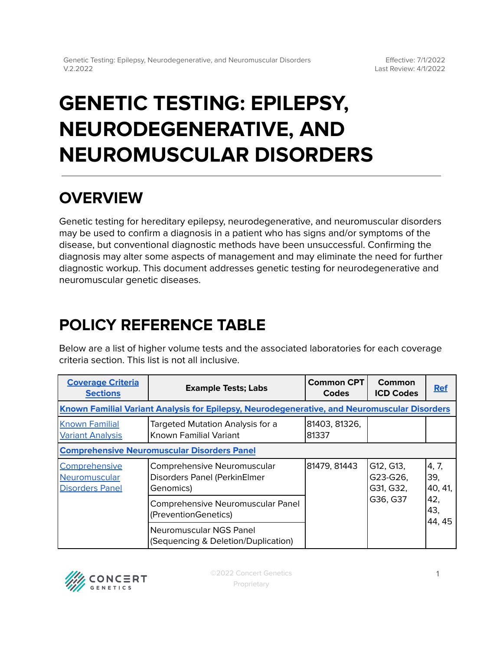# **GENETIC TESTING: EPILEPSY, NEURODEGENERATIVE, AND NEUROMUSCULAR DISORDERS**

# **OVERVIEW**

Genetic testing for hereditary epilepsy, neurodegenerative, and neuromuscular disorders may be used to confirm a diagnosis in a patient who has signs and/or symptoms of the disease, but conventional diagnostic methods have been unsuccessful. Confirming the diagnosis may alter some aspects of management and may eliminate the need for further diagnostic workup. This document addresses genetic testing for neurodegenerative and neuromuscular genetic diseases.

# <span id="page-0-0"></span>**POLICY REFERENCE TABLE**

Below are a list of higher volume tests and the associated laboratories for each coverage criteria section. This list is not all inclusive.

| <b>Coverage Criteria</b><br><b>Sections</b>                                                  | <b>Example Tests; Labs</b>                                               | <b>Common CPT</b><br><b>Codes</b> | Common<br><b>ICD Codes</b>                     | <b>Ref</b>                                      |
|----------------------------------------------------------------------------------------------|--------------------------------------------------------------------------|-----------------------------------|------------------------------------------------|-------------------------------------------------|
| Known Familial Variant Analysis for Epilepsy, Neurodegenerative, and Neuromuscular Disorders |                                                                          |                                   |                                                |                                                 |
| <b>Known Familial</b><br><b>Variant Analysis</b>                                             | Targeted Mutation Analysis for a<br>Known Familial Variant               | 81403, 81326,<br>81337            |                                                |                                                 |
| <b>Comprehensive Neuromuscular Disorders Panel</b>                                           |                                                                          |                                   |                                                |                                                 |
| Comprehensive<br>Neuromuscular<br><b>Disorders Panel</b>                                     | Comprehensive Neuromuscular<br>Disorders Panel (PerkinElmer<br>Genomics) | 81479, 81443                      | G12, G13,<br>G23-G26,<br>G31, G32,<br>G36, G37 | 4, 7,<br>39,<br>40, 41,<br>42,<br>43,<br>44, 45 |
|                                                                                              | Comprehensive Neuromuscular Panel<br>(PreventionGenetics)                |                                   |                                                |                                                 |
|                                                                                              | Neuromuscular NGS Panel<br>(Sequencing & Deletion/Duplication)           |                                   |                                                |                                                 |

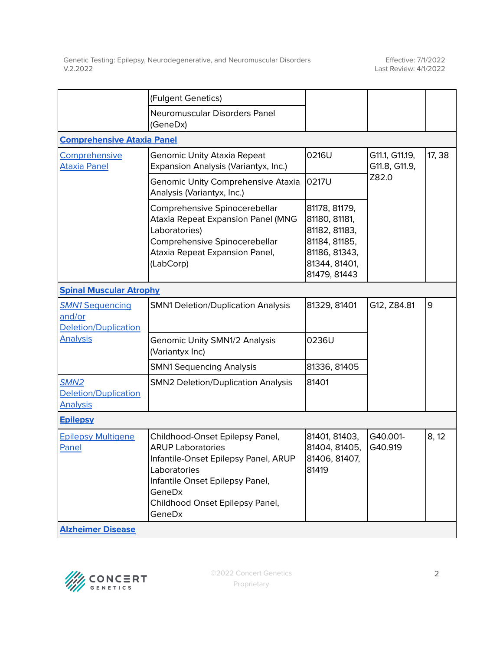|                                                                 | (Fulgent Genetics)                                                                                                                                                                                            |                                                                                                                    |                                          |        |  |
|-----------------------------------------------------------------|---------------------------------------------------------------------------------------------------------------------------------------------------------------------------------------------------------------|--------------------------------------------------------------------------------------------------------------------|------------------------------------------|--------|--|
|                                                                 | Neuromuscular Disorders Panel<br>(GeneDx)                                                                                                                                                                     |                                                                                                                    |                                          |        |  |
| <b>Comprehensive Ataxia Panel</b>                               |                                                                                                                                                                                                               |                                                                                                                    |                                          |        |  |
| Comprehensive<br><b>Ataxia Panel</b>                            | Genomic Unity Ataxia Repeat<br>Expansion Analysis (Variantyx, Inc.)                                                                                                                                           | 0216U                                                                                                              | G11.1, G11.19,<br>G11.8, G11.9,<br>Z82.0 | 17, 38 |  |
|                                                                 | Genomic Unity Comprehensive Ataxia<br>Analysis (Variantyx, Inc.)                                                                                                                                              | 0217U                                                                                                              |                                          |        |  |
|                                                                 | Comprehensive Spinocerebellar<br>Ataxia Repeat Expansion Panel (MNG<br>Laboratories)<br>Comprehensive Spinocerebellar<br>Ataxia Repeat Expansion Panel,<br>(LabCorp)                                          | 81178, 81179,<br>81180, 81181,<br>81182, 81183,<br>81184, 81185,<br>81186, 81343,<br>81344, 81401,<br>81479, 81443 |                                          |        |  |
| <b>Spinal Muscular Atrophy</b>                                  |                                                                                                                                                                                                               |                                                                                                                    |                                          |        |  |
| <b>SMN1 Sequencing</b><br>and/or<br><b>Deletion/Duplication</b> | <b>SMN1 Deletion/Duplication Analysis</b>                                                                                                                                                                     | 81329, 81401                                                                                                       | G12, Z84.81                              | 9      |  |
| <b>Analysis</b>                                                 | Genomic Unity SMN1/2 Analysis<br>(Variantyx Inc)                                                                                                                                                              | 0236U                                                                                                              |                                          |        |  |
|                                                                 | <b>SMN1 Sequencing Analysis</b>                                                                                                                                                                               | 81336, 81405                                                                                                       |                                          |        |  |
| SMN <sub>2</sub><br>Deletion/Duplication<br><b>Analysis</b>     | <b>SMN2 Deletion/Duplication Analysis</b>                                                                                                                                                                     | 81401                                                                                                              |                                          |        |  |
| <b>Epilepsy</b>                                                 |                                                                                                                                                                                                               |                                                                                                                    |                                          |        |  |
| <b>Epilepsy Multigene</b><br>Panel                              | Childhood-Onset Epilepsy Panel,<br><b>ARUP Laboratories</b><br>Infantile-Onset Epilepsy Panel, ARUP<br>Laboratories<br>Infantile Onset Epilepsy Panel,<br>GeneDx<br>Childhood Onset Epilepsy Panel,<br>GeneDx | 81401, 81403,<br>81404, 81405,<br>81406, 81407,<br>81419                                                           | G40.001-<br>G40.919                      | 8, 12  |  |
| <b>Alzheimer Disease</b>                                        |                                                                                                                                                                                                               |                                                                                                                    |                                          |        |  |

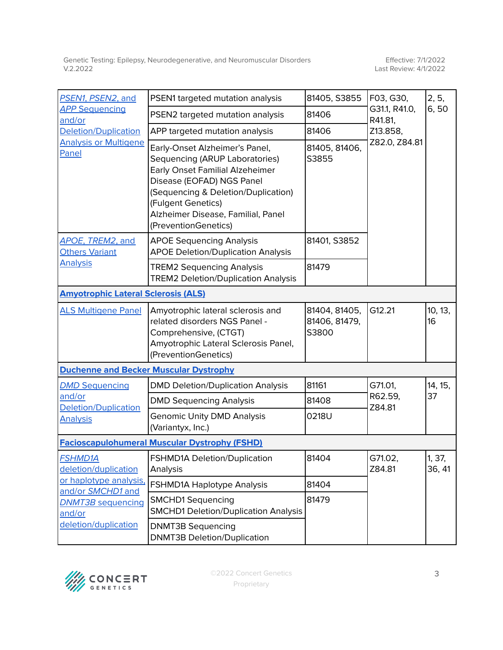Effective: 7/1/2022 Last Review: 4/1/2022

| PSEN1, PSEN2, and<br><b>APP Sequencing</b><br>and/or<br><b>Deletion/Duplication</b><br><b>Analysis or Multigene</b><br>Panel                        | PSEN1 targeted mutation analysis                                                                                                                                                                                                                            | 81405, S3855                            | F03, G30,<br>G31.1, R41.0,<br>R41.81,<br>Z13.858,<br>Z82.0, Z84.81 | 2, 5,<br>6,50    |  |
|-----------------------------------------------------------------------------------------------------------------------------------------------------|-------------------------------------------------------------------------------------------------------------------------------------------------------------------------------------------------------------------------------------------------------------|-----------------------------------------|--------------------------------------------------------------------|------------------|--|
|                                                                                                                                                     | PSEN2 targeted mutation analysis                                                                                                                                                                                                                            | 81406                                   |                                                                    |                  |  |
|                                                                                                                                                     | APP targeted mutation analysis                                                                                                                                                                                                                              | 81406                                   |                                                                    |                  |  |
|                                                                                                                                                     | Early-Onset Alzheimer's Panel,<br>Sequencing (ARUP Laboratories)<br>Early Onset Familial Alzeheimer<br>Disease (EOFAD) NGS Panel<br>(Sequencing & Deletion/Duplication)<br>(Fulgent Genetics)<br>Alzheimer Disease, Familial, Panel<br>(PreventionGenetics) | 81405, 81406,<br>S3855                  |                                                                    |                  |  |
| APOE, TREM2, and<br><b>Others Variant</b><br><b>Analysis</b>                                                                                        | <b>APOE Sequencing Analysis</b><br><b>APOE Deletion/Duplication Analysis</b>                                                                                                                                                                                | 81401, S3852                            |                                                                    |                  |  |
|                                                                                                                                                     | <b>TREM2 Sequencing Analysis</b><br><b>TREM2 Deletion/Duplication Analysis</b>                                                                                                                                                                              | 81479                                   |                                                                    |                  |  |
| <b>Amyotrophic Lateral Sclerosis (ALS)</b>                                                                                                          |                                                                                                                                                                                                                                                             |                                         |                                                                    |                  |  |
| <b>ALS Multigene Panel</b>                                                                                                                          | Amyotrophic lateral sclerosis and<br>related disorders NGS Panel -<br>Comprehensive, (CTGT)<br>Amyotrophic Lateral Sclerosis Panel,<br>(PreventionGenetics)                                                                                                 | 81404, 81405,<br>81406, 81479,<br>S3800 | G12.21                                                             | 10, 13,<br>16    |  |
| <b>Duchenne and Becker Muscular Dystrophy</b>                                                                                                       |                                                                                                                                                                                                                                                             |                                         |                                                                    |                  |  |
| <b>DMD Sequencing</b>                                                                                                                               | <b>DMD Deletion/Duplication Analysis</b>                                                                                                                                                                                                                    | 81161                                   | G71.01,<br>R62.59,<br>Z84.81                                       | 14, 15,<br>37    |  |
| and/or<br>Deletion/Duplication                                                                                                                      | <b>DMD Sequencing Analysis</b>                                                                                                                                                                                                                              | 81408                                   |                                                                    |                  |  |
| <b>Analysis</b>                                                                                                                                     | <b>Genomic Unity DMD Analysis</b><br>(Variantyx, Inc.)                                                                                                                                                                                                      | 0218U                                   |                                                                    |                  |  |
| <b>Facioscapulohumeral Muscular Dystrophy (FSHD)</b>                                                                                                |                                                                                                                                                                                                                                                             |                                         |                                                                    |                  |  |
| <b>FSHMD1A</b><br>deletion/duplication<br>or haplotype analysis,<br>and/or SMCHD1 and<br><b>DNMT3B</b> sequencing<br>and/or<br>deletion/duplication | FSHMD1A Deletion/Duplication<br>Analysis                                                                                                                                                                                                                    | 81404                                   | G71.02,<br>Z84.81                                                  | 1, 37,<br>36, 41 |  |
|                                                                                                                                                     | <b>FSHMD1A Haplotype Analysis</b>                                                                                                                                                                                                                           | 81404                                   |                                                                    |                  |  |
|                                                                                                                                                     | <b>SMCHD1 Sequencing</b><br><b>SMCHD1 Deletion/Duplication Analysis</b>                                                                                                                                                                                     | 81479                                   |                                                                    |                  |  |
|                                                                                                                                                     | <b>DNMT3B Sequencing</b><br><b>DNMT3B Deletion/Duplication</b>                                                                                                                                                                                              |                                         |                                                                    |                  |  |

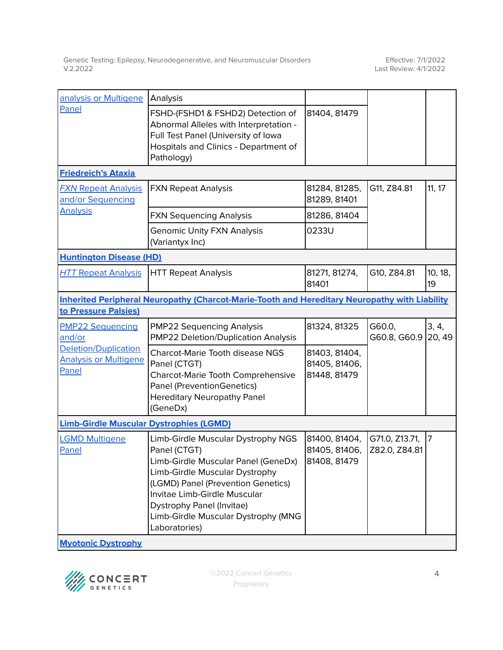| analysis or Multigene                                                                                | Analysis                                                                                                                                                                                                                                                                               |                                                |                                 |                 |
|------------------------------------------------------------------------------------------------------|----------------------------------------------------------------------------------------------------------------------------------------------------------------------------------------------------------------------------------------------------------------------------------------|------------------------------------------------|---------------------------------|-----------------|
| Panel                                                                                                | FSHD-(FSHD1 & FSHD2) Detection of<br>Abnormal Alleles with Interpretation -<br>Full Test Panel (University of lowa<br>Hospitals and Clinics - Department of<br>Pathology)                                                                                                              | 81404, 81479                                   |                                 |                 |
| <b>Friedreich's Ataxia</b>                                                                           |                                                                                                                                                                                                                                                                                        |                                                |                                 |                 |
| <b>FXN Repeat Analysis</b><br>and/or Sequencing                                                      | <b>FXN Repeat Analysis</b>                                                                                                                                                                                                                                                             | 81284, 81285,<br>81289, 81401                  | G11, Z84.81                     | 11, 17          |
| <b>Analysis</b>                                                                                      | <b>FXN Sequencing Analysis</b>                                                                                                                                                                                                                                                         | 81286, 81404                                   |                                 |                 |
|                                                                                                      | <b>Genomic Unity FXN Analysis</b><br>(Variantyx Inc)                                                                                                                                                                                                                                   | 0233U                                          |                                 |                 |
| <b>Huntington Disease (HD)</b>                                                                       |                                                                                                                                                                                                                                                                                        |                                                |                                 |                 |
| <b>HTT Repeat Analysis</b>                                                                           | <b>HTT Repeat Analysis</b>                                                                                                                                                                                                                                                             | 81271, 81274,<br>81401                         | G10, Z84.81                     | 10, 18,<br>19   |
| <b>Inherited Peripheral Neuropathy (Charcot-Marie-Tooth and Hereditary Neuropathy with Liability</b> |                                                                                                                                                                                                                                                                                        |                                                |                                 |                 |
| to Pressure Palsies)                                                                                 |                                                                                                                                                                                                                                                                                        |                                                |                                 |                 |
| <b>PMP22 Sequencing</b><br>and/or                                                                    | <b>PMP22 Sequencing Analysis</b><br>PMP22 Deletion/Duplication Analysis                                                                                                                                                                                                                | 81324, 81325                                   | G60.0,<br>G60.8, G60.9          | 3, 4,<br>20, 49 |
| Deletion/Duplication                                                                                 | Charcot-Marie Tooth disease NGS                                                                                                                                                                                                                                                        | 81403, 81404,                                  |                                 |                 |
| <b>Analysis or Multigene</b><br>Panel                                                                | Panel (CTGT)<br>Charcot-Marie Tooth Comprehensive<br>Panel (PreventionGenetics)<br><b>Hereditary Neuropathy Panel</b><br>(GeneDx)                                                                                                                                                      | 81405, 81406,<br>81448, 81479                  |                                 |                 |
| <b>Limb-Girdle Muscular Dystrophies (LGMD)</b>                                                       |                                                                                                                                                                                                                                                                                        |                                                |                                 |                 |
| <b>LGMD Multigene</b><br>Panel                                                                       | Limb-Girdle Muscular Dystrophy NGS<br>Panel (CTGT)<br>Limb-Girdle Muscular Panel (GeneDx)<br>Limb-Girdle Muscular Dystrophy<br>(LGMD) Panel (Prevention Genetics)<br>Invitae Limb-Girdle Muscular<br>Dystrophy Panel (Invitae)<br>Limb-Girdle Muscular Dystrophy (MNG<br>Laboratories) | 81400, 81404,<br>81405, 81406,<br>81408, 81479 | G71.0, Z13.71,<br>Z82.0, Z84.81 | $\overline{7}$  |

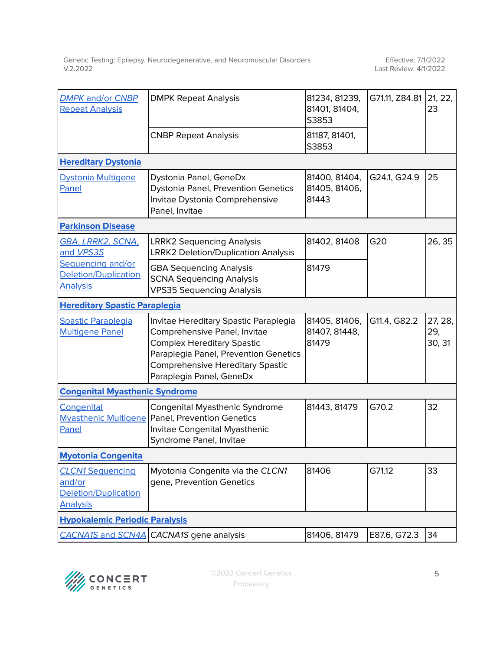| <b>DMPK and/or CNBP</b><br><b>Repeat Analysis</b>                            | <b>DMPK Repeat Analysis</b>                                                                                                                                                                                         | 81234, 81239,<br>81401, 81404,<br>S3853 | G71.11, Z84.81 | [21, 22,<br>23           |  |
|------------------------------------------------------------------------------|---------------------------------------------------------------------------------------------------------------------------------------------------------------------------------------------------------------------|-----------------------------------------|----------------|--------------------------|--|
|                                                                              | <b>CNBP Repeat Analysis</b>                                                                                                                                                                                         | 81187, 81401,<br>S3853                  |                |                          |  |
| <b>Hereditary Dystonia</b>                                                   |                                                                                                                                                                                                                     |                                         |                |                          |  |
| <b>Dystonia Multigene</b><br>Panel                                           | Dystonia Panel, GeneDx<br>Dystonia Panel, Prevention Genetics<br>Invitae Dystonia Comprehensive<br>Panel, Invitae                                                                                                   | 81400, 81404,<br>81405, 81406,<br>81443 | G24.1, G24.9   | 25                       |  |
| <b>Parkinson Disease</b>                                                     |                                                                                                                                                                                                                     |                                         |                |                          |  |
| GBA, LRRK2, SCNA,<br>and VPS35                                               | <b>LRRK2 Sequencing Analysis</b><br><b>LRRK2 Deletion/Duplication Analysis</b>                                                                                                                                      | 81402, 81408                            | G20            | 26, 35                   |  |
| Sequencing and/or<br>Deletion/Duplication<br><b>Analysis</b>                 | <b>GBA Sequencing Analysis</b><br><b>SCNA Sequencing Analysis</b><br><b>VPS35 Sequencing Analysis</b>                                                                                                               | 81479                                   |                |                          |  |
| <b>Hereditary Spastic Paraplegia</b>                                         |                                                                                                                                                                                                                     |                                         |                |                          |  |
| <b>Spastic Paraplegia</b><br><b>Multigene Panel</b>                          | Invitae Hereditary Spastic Paraplegia<br>Comprehensive Panel, Invitae<br><b>Complex Hereditary Spastic</b><br>Paraplegia Panel, Prevention Genetics<br>Comprehensive Hereditary Spastic<br>Paraplegia Panel, GeneDx | 81405, 81406,<br>81407, 81448,<br>81479 | G11.4, G82.2   | 27, 28,<br>29,<br>30, 31 |  |
| <b>Congenital Myasthenic Syndrome</b>                                        |                                                                                                                                                                                                                     |                                         |                |                          |  |
| Congenital<br>Panel                                                          | Congenital Myasthenic Syndrome<br>Myasthenic Multigene   Panel, Prevention Genetics<br>Invitae Congenital Myasthenic<br>Syndrome Panel, Invitae                                                                     | 81443, 81479                            | G70.2          | 32                       |  |
| <b>Myotonia Congenita</b>                                                    |                                                                                                                                                                                                                     |                                         |                |                          |  |
| <b>CLCN1</b> Sequencing<br>and/or<br>Deletion/Duplication<br><b>Analysis</b> | Myotonia Congenita via the CLCN1<br>gene, Prevention Genetics                                                                                                                                                       | 81406                                   | G71.12         | 33                       |  |
| <b>Hypokalemic Periodic Paralysis</b>                                        |                                                                                                                                                                                                                     |                                         |                |                          |  |
|                                                                              | CACNA1S and SCN4A CACNA1S gene analysis                                                                                                                                                                             | 81406, 81479                            | E87.6, G72.3   | 34                       |  |

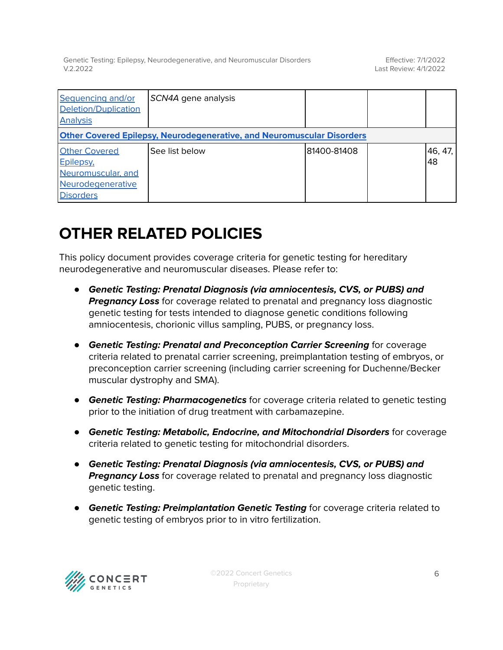Effective: 7/1/2022 Last Review: 4/1/2022

| Sequencing and/or<br>Deletion/Duplication<br><b>Analysis</b>                                     | SCN4A gene analysis |             |  |               |  |
|--------------------------------------------------------------------------------------------------|---------------------|-------------|--|---------------|--|
| <b>Other Covered Epilepsy, Neurodegenerative, and Neuromuscular Disorders</b>                    |                     |             |  |               |  |
| <b>Other Covered</b><br>Epilepsy,<br>Neuromuscular, and<br>Neurodegenerative<br><b>Disorders</b> | See list below      | 81400-81408 |  | 46, 47,<br>48 |  |

# **OTHER RELATED POLICIES**

This policy document provides coverage criteria for genetic testing for hereditary neurodegenerative and neuromuscular diseases. Please refer to:

- *●* **Genetic Testing: Prenatal Diagnosis (via amniocentesis, CVS, or PUBS) and Pregnancy Loss** for coverage related to prenatal and pregnancy loss diagnostic genetic testing for tests intended to diagnose genetic conditions following amniocentesis, chorionic villus sampling, PUBS, or pregnancy loss.
- *●* **Genetic Testing: Prenatal and Preconception Carrier Screening** for coverage criteria related to prenatal carrier screening, preimplantation testing of embryos, or preconception carrier screening (including carrier screening for Duchenne/Becker muscular dystrophy and SMA).
- *●* **Genetic Testing: Pharmacogenetics** for coverage criteria related to genetic testing prior to the initiation of drug treatment with carbamazepine.
- *●* **Genetic Testing: Metabolic, Endocrine, and Mitochondrial Disorders** for coverage criteria related to genetic testing for mitochondrial disorders.
- **Genetic Testing: Prenatal Diagnosis (via amniocentesis, CVS, or PUBS) and Pregnancy Loss** for coverage related to prenatal and pregnancy loss diagnostic genetic testing.
- **Genetic Testing: Preimplantation Genetic Testing** for coverage criteria related to genetic testing of embryos prior to in vitro fertilization.

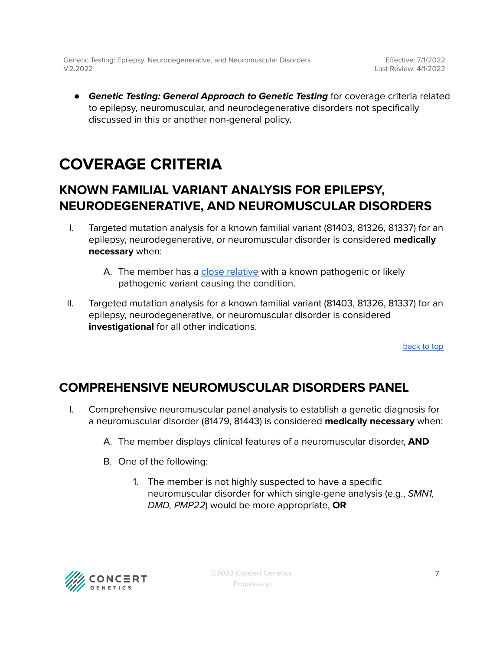Effective: 7/1/2022 Last Review: 4/1/2022

● **Genetic Testing: General Approach to Genetic Testing** for coverage criteria related to epilepsy, neuromuscular, and neurodegenerative disorders not specifically discussed in this or another non-general policy.

# <span id="page-6-0"></span>**COVERAGE CRITERIA**

## <span id="page-6-1"></span>**KNOWN FAMILIAL VARIANT ANALYSIS FOR EPILEPSY, NEURODEGENERATIVE, AND NEUROMUSCULAR DISORDERS**

- I. Targeted mutation analysis for a known familial variant (81403, 81326, 81337) for an epilepsy, neurodegenerative, or neuromuscular disorder is considered **medically necessary** when:
	- A. The member has a close [relative](#page-24-0) with a known pathogenic or likely pathogenic variant causing the condition.
- II. Targeted mutation analysis for a known familial variant (81403, 81326, 81337) for an epilepsy, neurodegenerative, or neuromuscular disorder is considered **investigational** for all other indications.

[back](#page-0-0) to top

### <span id="page-6-2"></span>**COMPREHENSIVE NEUROMUSCULAR DISORDERS PANEL**

- I. Comprehensive neuromuscular panel analysis to establish a genetic diagnosis for a neuromuscular disorder (81479, 81443) is considered **medically necessary** when:
	- A. The member displays clinical features of a neuromuscular disorder, **AND**
	- B. One of the following:
		- 1. The member is not highly suspected to have a specific neuromuscular disorder for which single-gene analysis (e.g., SMN1, DMD, PMP22) would be more appropriate, **OR**

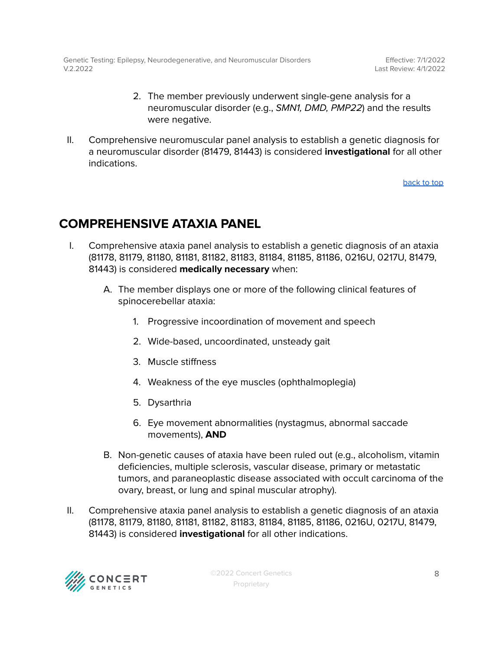- 2. The member previously underwent single-gene analysis for a neuromuscular disorder (e.g., SMN1, DMD, PMP22) and the results were negative.
- II. Comprehensive neuromuscular panel analysis to establish a genetic diagnosis for a neuromuscular disorder (81479, 81443) is considered **investigational** for all other indications.

### <span id="page-7-0"></span>**COMPREHENSIVE ATAXIA PANEL**

- I. Comprehensive ataxia panel analysis to establish a genetic diagnosis of an ataxia (81178, 81179, 81180, 81181, 81182, 81183, 81184, 81185, 81186, 0216U, 0217U, 81479, 81443) is considered **medically necessary** when:
	- A. The member displays one or more of the following clinical features of spinocerebellar ataxia:
		- 1. Progressive incoordination of movement and speech
		- 2. Wide-based, uncoordinated, unsteady gait
		- 3. Muscle stiffness
		- 4. Weakness of the eye muscles (ophthalmoplegia)
		- 5. Dysarthria
		- 6. Eye movement abnormalities (nystagmus, abnormal saccade movements), **AND**
	- B. Non-genetic causes of ataxia have been ruled out (e.g., alcoholism, vitamin deficiencies, multiple sclerosis, vascular disease, primary or metastatic tumors, and paraneoplastic disease associated with occult carcinoma of the ovary, breast, or lung and spinal muscular atrophy).
- II. Comprehensive ataxia panel analysis to establish a genetic diagnosis of an ataxia (81178, 81179, 81180, 81181, 81182, 81183, 81184, 81185, 81186, 0216U, 0217U, 81479, 81443) is considered **investigational** for all other indications.

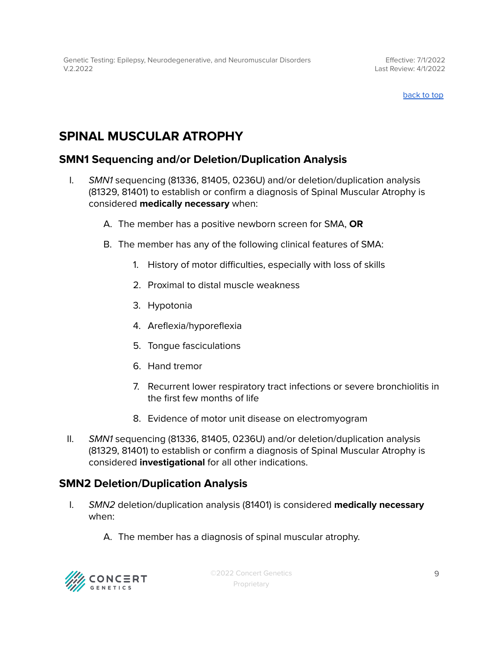# <span id="page-8-0"></span>**SPINAL MUSCULAR ATROPHY**

### <span id="page-8-1"></span>**SMN1 Sequencing and/or Deletion/Duplication Analysis**

- I. SMN1 sequencing (81336, 81405, 0236U) and/or deletion/duplication analysis (81329, 81401) to establish or confirm a diagnosis of Spinal Muscular Atrophy is considered **medically necessary** when:
	- A. The member has a positive newborn screen for SMA, **OR**
	- B. The member has any of the following clinical features of SMA:
		- 1. History of motor difficulties, especially with loss of skills
		- 2. Proximal to distal muscle weakness
		- 3. Hypotonia
		- 4. Areflexia/hyporeflexia
		- 5. Tongue fasciculations
		- 6. Hand tremor
		- 7. Recurrent lower respiratory tract infections or severe bronchiolitis in the first few months of life
		- 8. Evidence of motor unit disease on electromyogram
- II. SMN1 sequencing (81336, 81405, 0236U) and/or deletion/duplication analysis (81329, 81401) to establish or confirm a diagnosis of Spinal Muscular Atrophy is considered **investigational** for all other indications.

### <span id="page-8-2"></span>**SMN2 Deletion/Duplication Analysis**

- I. SMN2 deletion/duplication analysis (81401) is considered **medically necessary** when:
	- A. The member has a diagnosis of spinal muscular atrophy.

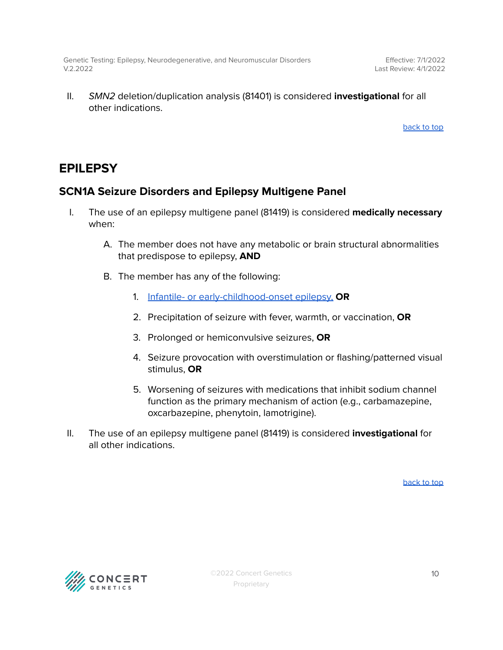II. SMN2 deletion/duplication analysis (81401) is considered **investigational** for all other indications.

[back](#page-0-0) to top

### <span id="page-9-0"></span>**EPILEPSY**

### <span id="page-9-1"></span>**SCN1A Seizure Disorders and Epilepsy Multigene Panel**

- I. The use of an epilepsy multigene panel (81419) is considered **medically necessary** when:
	- A. The member does not have any metabolic or brain structural abnormalities that predispose to epilepsy, **AND**
	- B. The member has any of the following:
		- 1. Infantile- or [early-childhood-onset](#page-24-0) epilepsy, **OR**
		- 2. Precipitation of seizure with fever, warmth, or vaccination, **OR**
		- 3. Prolonged or hemiconvulsive seizures, **OR**
		- 4. Seizure provocation with overstimulation or flashing/patterned visual stimulus, **OR**
		- 5. Worsening of seizures with medications that inhibit sodium channel function as the primary mechanism of action (e.g., carbamazepine, oxcarbazepine, phenytoin, lamotrigine).
- II. The use of an epilepsy multigene panel (81419) is considered **investigational** for all other indications.

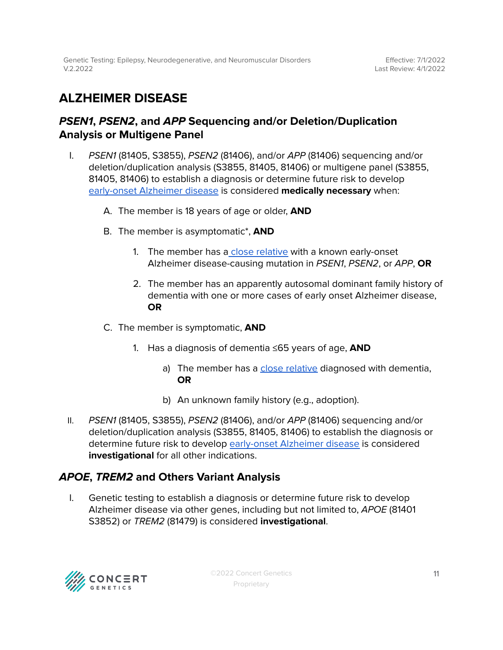# <span id="page-10-0"></span>**ALZHEIMER DISEASE**

### <span id="page-10-1"></span>**PSEN1, PSEN2, and APP Sequencing and/or Deletion/Duplication Analysis or Multigene Panel**

- I. PSEN1 (81405, S3855), PSEN2 (81406), and/or APP (81406) sequencing and/or deletion/duplication analysis (S3855, 81405, 81406) or multigene panel (S3855, 81405, 81406) to establish a diagnosis or determine future risk to develop [early-onset](#page-24-0) Alzheimer disease is considered **medically necessary** when:
	- A. The member is 18 years of age or older, **AND**
	- B. The member is asymptomatic\*, **AND**
		- 1. The member has a close [relative](#page-24-0) with a known early-onset Alzheimer disease-causing mutation in PSEN1, PSEN2, or APP, **OR**
		- 2. The member has an apparently autosomal dominant family history of dementia with one or more cases of early onset Alzheimer disease, **OR**
	- C. The member is symptomatic, **AND**
		- 1. Has a diagnosis of dementia ≤65 years of age, **AND**
			- a) The member has a close [relative](#page-24-0) diagnosed with dementia, **OR**
			- b) An unknown family history (e.g., adoption).
- II. PSEN1 (81405, S3855), PSEN2 (81406), and/or APP (81406) sequencing and/or deletion/duplication analysis (S3855, 81405, 81406) to establish the diagnosis or determine future risk to develop [early-onset](#page-24-0) Alzheimer disease is considered **investigational** for all other indications.

### <span id="page-10-2"></span>**APOE, TREM2 and Others Variant Analysis**

I. Genetic testing to establish a diagnosis or determine future risk to develop Alzheimer disease via other genes, including but not limited to, APOE (81401 S3852) or TREM2 (81479) is considered **investigational**.

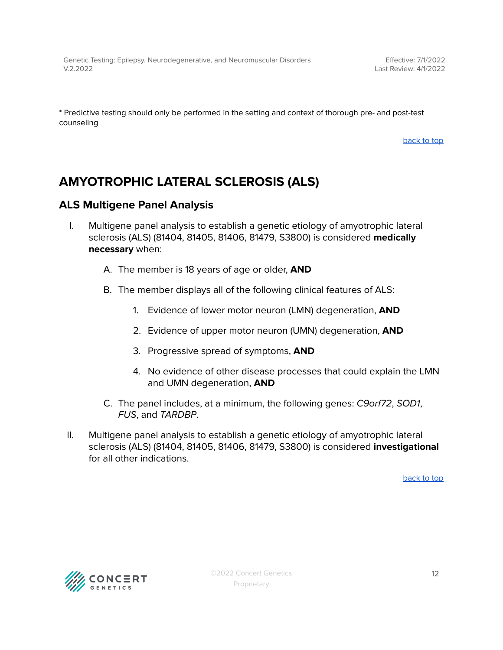\* Predictive testing should only be performed in the setting and context of thorough pre- and post-test counseling

[back](#page-0-0) to top

## <span id="page-11-0"></span>**AMYOTROPHIC LATERAL SCLEROSIS (ALS)**

### <span id="page-11-1"></span>**ALS Multigene Panel Analysis**

- I. Multigene panel analysis to establish a genetic etiology of amyotrophic lateral sclerosis (ALS) (81404, 81405, 81406, 81479, S3800) is considered **medically necessary** when:
	- A. The member is 18 years of age or older, **AND**
	- B. The member displays all of the following clinical features of ALS:
		- 1. Evidence of lower motor neuron (LMN) degeneration, **AND**
		- 2. Evidence of upper motor neuron (UMN) degeneration, **AND**
		- 3. Progressive spread of symptoms, **AND**
		- 4. No evidence of other disease processes that could explain the LMN and UMN degeneration, **AND**
	- C. The panel includes, at a minimum, the following genes: C9orf72, SOD1, FUS, and TARDBP.
- II. Multigene panel analysis to establish a genetic etiology of amyotrophic lateral sclerosis (ALS) (81404, 81405, 81406, 81479, S3800) is considered **investigational** for all other indications.

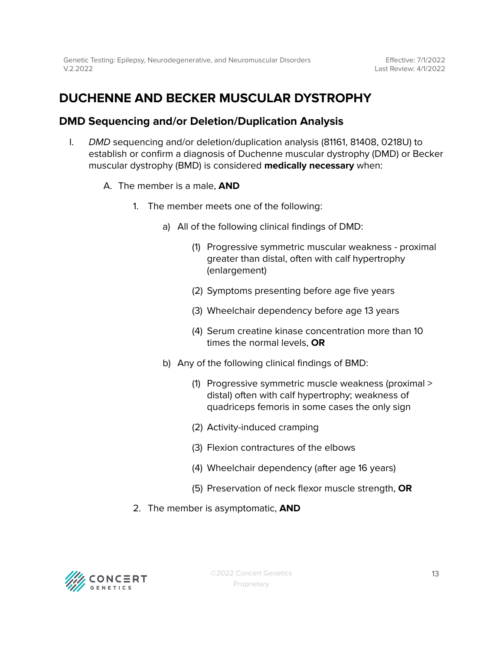# <span id="page-12-0"></span>**DUCHENNE AND BECKER MUSCULAR DYSTROPHY**

### <span id="page-12-1"></span>**DMD Sequencing and/or Deletion/Duplication Analysis**

- I. DMD sequencing and/or deletion/duplication analysis (81161, 81408, 0218U) to establish or confirm a diagnosis of Duchenne muscular dystrophy (DMD) or Becker muscular dystrophy (BMD) is considered **medically necessary** when:
	- A. The member is a male, **AND**
		- 1. The member meets one of the following:
			- a) All of the following clinical findings of DMD:
				- (1) Progressive symmetric muscular weakness proximal greater than distal, often with calf hypertrophy (enlargement)
				- (2) Symptoms presenting before age five years
				- (3) Wheelchair dependency before age 13 years
				- (4) Serum creatine kinase concentration more than 10 times the normal levels, **OR**
			- b) Any of the following clinical findings of BMD:
				- (1) Progressive symmetric muscle weakness (proximal > distal) often with calf hypertrophy; weakness of quadriceps femoris in some cases the only sign
				- (2) Activity-induced cramping
				- (3) Flexion contractures of the elbows
				- (4) Wheelchair dependency (after age 16 years)
				- (5) Preservation of neck flexor muscle strength, **OR**
		- 2. The member is asymptomatic, **AND**

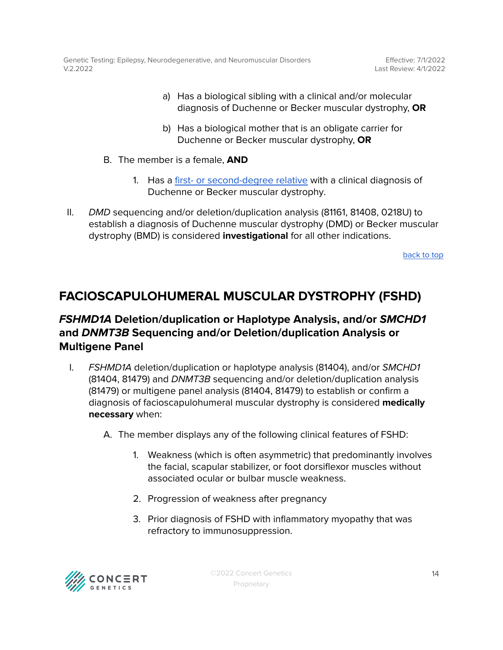- a) Has a biological sibling with a clinical and/or molecular diagnosis of Duchenne or Becker muscular dystrophy, **OR**
- b) Has a biological mother that is an obligate carrier for Duchenne or Becker muscular dystrophy, **OR**
- B. The member is a female, **AND**
	- 1. Has a first- or [second-degree](#page-24-0) relative with a clinical diagnosis of Duchenne or Becker muscular dystrophy.
- II. DMD sequencing and/or deletion/duplication analysis (81161, 81408, 0218U) to establish a diagnosis of Duchenne muscular dystrophy (DMD) or Becker muscular dystrophy (BMD) is considered **investigational** for all other indications.

## <span id="page-13-0"></span>**FACIOSCAPULOHUMERAL MUSCULAR DYSTROPHY (FSHD)**

### **FSHMD1A Deletion/duplication or Haplotype Analysis, and/or SMCHD1 and DNMT3B Sequencing and/or Deletion/duplication Analysis or Multigene Panel**

- <span id="page-13-1"></span>I. FSHMD1A deletion/duplication or haplotype analysis (81404), and/or SMCHD1 (81404, 81479) and DNMT3B sequencing and/or deletion/duplication analysis (81479) or multigene panel analysis (81404, 81479) to establish or confirm a diagnosis of facioscapulohumeral muscular dystrophy is considered **medically necessary** when:
	- A. The member displays any of the following clinical features of FSHD:
		- 1. Weakness (which is often asymmetric) that predominantly involves the facial, scapular stabilizer, or foot dorsiflexor muscles without associated ocular or bulbar muscle weakness.
		- 2. Progression of weakness after pregnancy
		- 3. Prior diagnosis of FSHD with inflammatory myopathy that was refractory to immunosuppression.

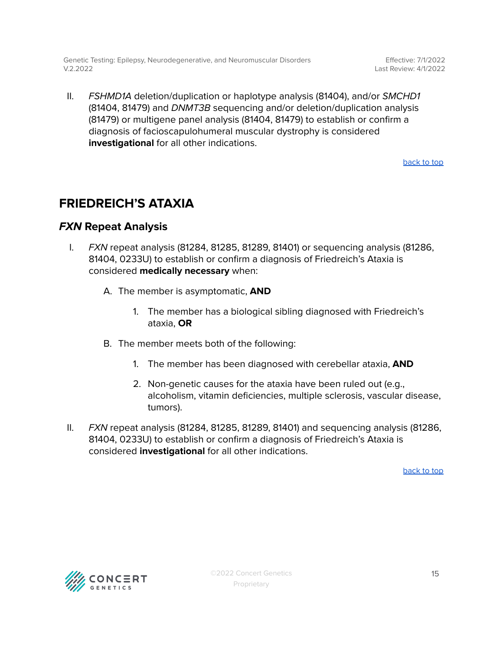Effective: 7/1/2022 Last Review: 4/1/2022

II. FSHMD1A deletion/duplication or haplotype analysis (81404), and/or SMCHD1 (81404, 81479) and DNMT3B sequencing and/or deletion/duplication analysis (81479) or multigene panel analysis (81404, 81479) to establish or confirm a diagnosis of facioscapulohumeral muscular dystrophy is considered **investigational** for all other indications.

[back](#page-0-0) to top

### <span id="page-14-0"></span>**FRIEDREICH'S ATAXIA**

### <span id="page-14-1"></span>**FXN Repeat Analysis**

- I. FXN repeat analysis (81284, 81285, 81289, 81401) or sequencing analysis (81286, 81404, 0233U) to establish or confirm a diagnosis of Friedreich's Ataxia is considered **medically necessary** when:
	- A. The member is asymptomatic, **AND**
		- 1. The member has a biological sibling diagnosed with Friedreich's ataxia, **OR**
	- B. The member meets both of the following:
		- 1. The member has been diagnosed with cerebellar ataxia, **AND**
		- 2. Non-genetic causes for the ataxia have been ruled out (e.g., alcoholism, vitamin deficiencies, multiple sclerosis, vascular disease, tumors).
- II. FXN repeat analysis (81284, 81285, 81289, 81401) and sequencing analysis (81286, 81404, 0233U) to establish or confirm a diagnosis of Friedreich's Ataxia is considered **investigational** for all other indications.

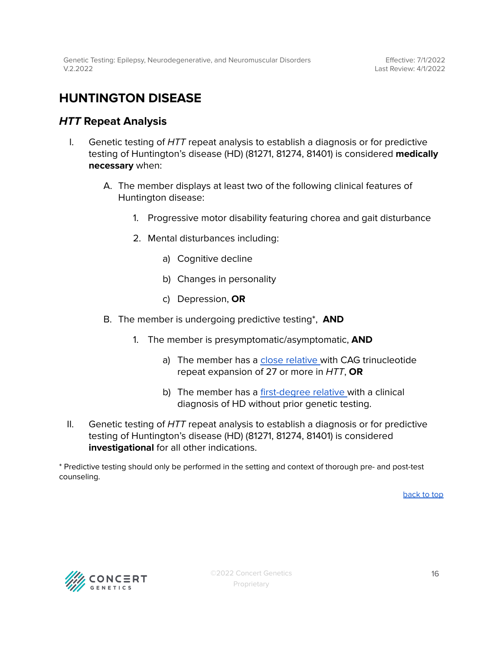# <span id="page-15-0"></span>**HUNTINGTON DISEASE**

### <span id="page-15-1"></span>**HTT Repeat Analysis**

- I. Genetic testing of  $HTT$  repeat analysis to establish a diagnosis or for predictive testing of Huntington's disease (HD) (81271, 81274, 81401) is considered **medically necessary** when:
	- A. The member displays at least two of the following clinical features of Huntington disease:
		- 1. Progressive motor disability featuring chorea and gait disturbance
		- 2. Mental disturbances including:
			- a) Cognitive decline
			- b) Changes in personality
			- c) Depression, **OR**
	- B. The member is undergoing predictive testing\*, **AND**
		- 1. The member is presymptomatic/asymptomatic, **AND**
			- a) The member has a close [relative](#page-24-0) with CAG trinucleotide repeat expansion of 27 or more in HTT, **OR**
			- b) The member has a [first-degree](#page-24-0) relative with a clinical diagnosis of HD without prior genetic testing.
- II. Genetic testing of HTT repeat analysis to establish a diagnosis or for predictive testing of Huntington's disease (HD) (81271, 81274, 81401) is considered **investigational** for all other indications.

\* Predictive testing should only be performed in the setting and context of thorough pre- and post-test counseling.

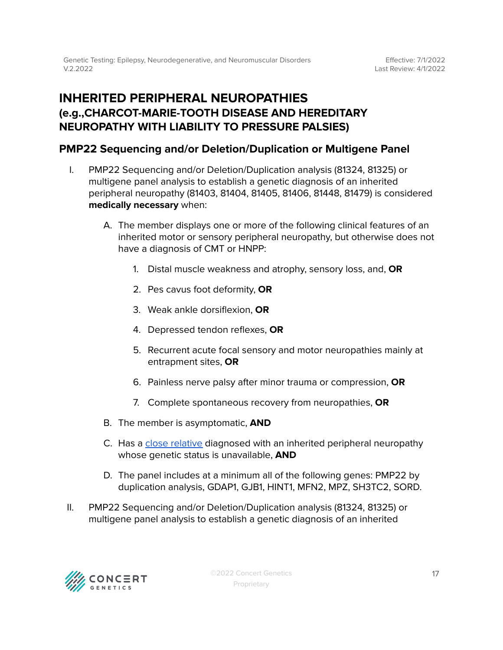### **INHERITED PERIPHERAL NEUROPATHIES (e.g.,CHARCOT-MARIE-TOOTH DISEASE AND HEREDITARY NEUROPATHY WITH LIABILITY TO PRESSURE PALSIES)**

### <span id="page-16-1"></span><span id="page-16-0"></span>**PMP22 Sequencing and/or Deletion/Duplication or Multigene Panel**

- I. PMP22 Sequencing and/or Deletion/Duplication analysis (81324, 81325) or multigene panel analysis to establish a genetic diagnosis of an inherited peripheral neuropathy (81403, 81404, 81405, 81406, 81448, 81479) is considered **medically necessary** when:
	- A. The member displays one or more of the following clinical features of an inherited motor or sensory peripheral neuropathy, but otherwise does not have a diagnosis of CMT or HNPP:
		- 1. Distal muscle weakness and atrophy, sensory loss, and, **OR**
		- 2. Pes cavus foot deformity, **OR**
		- 3. Weak ankle dorsiflexion, **OR**
		- 4. Depressed tendon reflexes, **OR**
		- 5. Recurrent acute focal sensory and motor neuropathies mainly at entrapment sites, **OR**
		- 6. Painless nerve palsy after minor trauma or compression, **OR**
		- 7. Complete spontaneous recovery from neuropathies, **OR**
	- B. The member is asymptomatic, **AND**
	- C. Has a close [relative](#page-24-0) diagnosed with an inherited peripheral neuropathy whose genetic status is unavailable, **AND**
	- D. The panel includes at a minimum all of the following genes: PMP22 by duplication analysis, GDAP1, GJB1, HINT1, MFN2, MPZ, SH3TC2, SORD.
- II. PMP22 Sequencing and/or Deletion/Duplication analysis (81324, 81325) or multigene panel analysis to establish a genetic diagnosis of an inherited

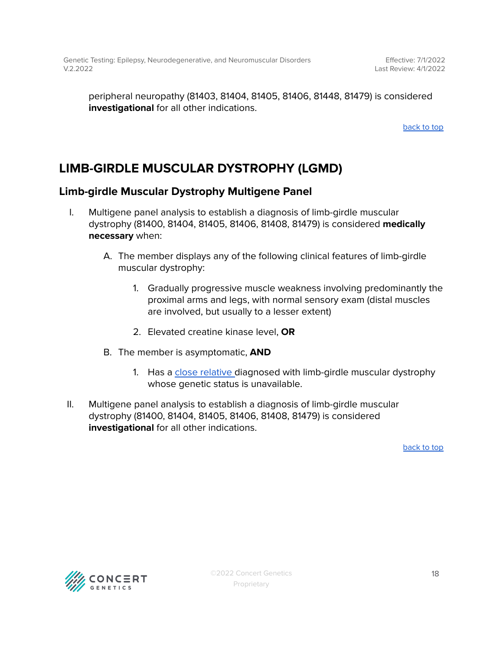peripheral neuropathy (81403, 81404, 81405, 81406, 81448, 81479) is considered **investigational** for all other indications.

[back](#page-0-0) to top

# <span id="page-17-0"></span>**LIMB-GIRDLE MUSCULAR DYSTROPHY (LGMD)**

### <span id="page-17-1"></span>**Limb-girdle Muscular Dystrophy Multigene Panel**

- I. Multigene panel analysis to establish a diagnosis of limb-girdle muscular dystrophy (81400, 81404, 81405, 81406, 81408, 81479) is considered **medically necessary** when:
	- A. The member displays any of the following clinical features of limb-girdle muscular dystrophy:
		- 1. Gradually progressive muscle weakness involving predominantly the proximal arms and legs, with normal sensory exam (distal muscles are involved, but usually to a lesser extent)
		- 2. Elevated creatine kinase level, **OR**
	- B. The member is asymptomatic, **AND**
		- 1. Has a close [relative](#page-24-0) diagnosed with limb-girdle muscular dystrophy whose genetic status is unavailable.
- II. Multigene panel analysis to establish a diagnosis of limb-girdle muscular dystrophy (81400, 81404, 81405, 81406, 81408, 81479) is considered **investigational** for all other indications.

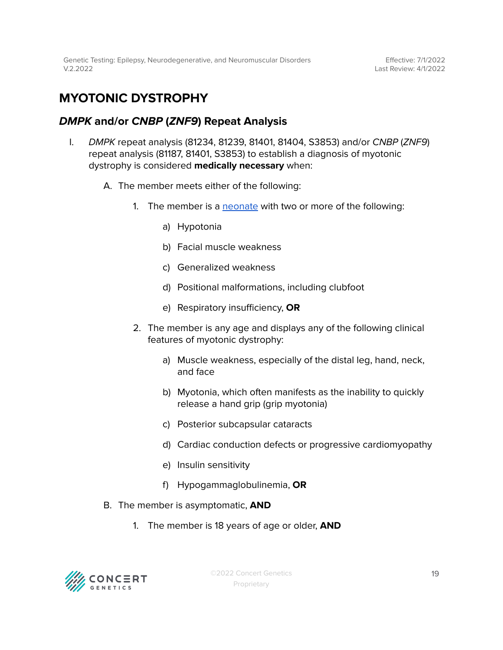# <span id="page-18-0"></span>**MYOTONIC DYSTROPHY**

### <span id="page-18-1"></span>**DMPK and/or CNBP (ZNF9) Repeat Analysis**

- I. DMPK repeat analysis (81234, 81239, 81401, 81404, S3853) and/or CNBP (ZNF9) repeat analysis (81187, 81401, S3853) to establish a diagnosis of myotonic dystrophy is considered **medically necessary** when:
	- A. The member meets either of the following:
		- 1. The member is a [neonate](#page-24-0) with two or more of the following:
			- a) Hypotonia
			- b) Facial muscle weakness
			- c) Generalized weakness
			- d) Positional malformations, including clubfoot
			- e) Respiratory insufficiency, **OR**
		- 2. The member is any age and displays any of the following clinical features of myotonic dystrophy:
			- a) Muscle weakness, especially of the distal leg, hand, neck, and face
			- b) Myotonia, which often manifests as the inability to quickly release a hand grip (grip myotonia)
			- c) Posterior subcapsular cataracts
			- d) Cardiac conduction defects or progressive cardiomyopathy
			- e) Insulin sensitivity
			- f) Hypogammaglobulinemia, **OR**
	- B. The member is asymptomatic, **AND**
		- 1. The member is 18 years of age or older, **AND**

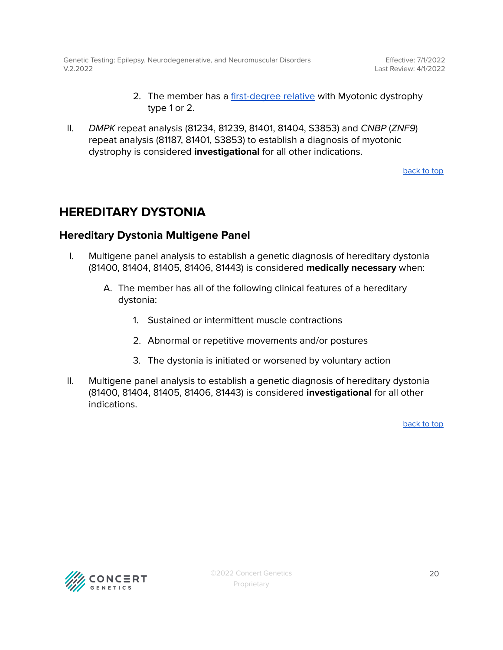- 2. The member has a [first-degree](#page-24-0) relative with Myotonic dystrophy type 1 or 2.
- II. DMPK repeat analysis (81234, 81239, 81401, 81404, S3853) and CNBP (ZNF9) repeat analysis (81187, 81401, S3853) to establish a diagnosis of myotonic dystrophy is considered **investigational** for all other indications.

### <span id="page-19-0"></span>**HEREDITARY DYSTONIA**

### <span id="page-19-1"></span>**Hereditary Dystonia Multigene Panel**

- I. Multigene panel analysis to establish a genetic diagnosis of hereditary dystonia (81400, 81404, 81405, 81406, 81443) is considered **medically necessary** when:
	- A. The member has all of the following clinical features of a hereditary dystonia:
		- 1. Sustained or intermittent muscle contractions
		- 2. Abnormal or repetitive movements and/or postures
		- 3. The dystonia is initiated or worsened by voluntary action
- II. Multigene panel analysis to establish a genetic diagnosis of hereditary dystonia (81400, 81404, 81405, 81406, 81443) is considered **investigational** for all other indications.

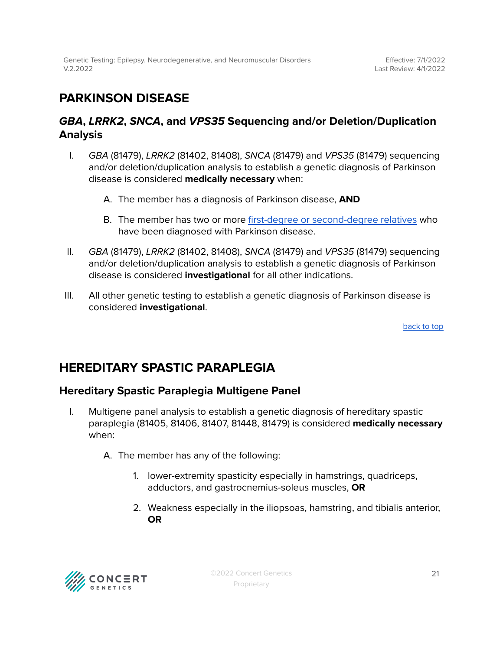# <span id="page-20-0"></span>**PARKINSON DISEASE**

### <span id="page-20-1"></span>**GBA, LRRK2, SNCA, and VPS35 Sequencing and/or Deletion/Duplication Analysis**

- I. GBA (81479), LRRK2 (81402, 81408), SNCA (81479) and VPS35 (81479) sequencing and/or deletion/duplication analysis to establish a genetic diagnosis of Parkinson disease is considered **medically necessary** when:
	- A. The member has a diagnosis of Parkinson disease, **AND**
	- B. The member has two or more first-degree or [second-degree](#page-24-0) relatives who have been diagnosed with Parkinson disease.
- II. GBA (81479), LRRK2 (81402, 81408), SNCA (81479) and VPS35 (81479) sequencing and/or deletion/duplication analysis to establish a genetic diagnosis of Parkinson disease is considered **investigational** for all other indications.
- III. All other genetic testing to establish a genetic diagnosis of Parkinson disease is considered **investigational**.

[back](#page-0-0) to top

### <span id="page-20-2"></span>**HEREDITARY SPASTIC PARAPLEGIA**

### <span id="page-20-3"></span>**Hereditary Spastic Paraplegia Multigene Panel**

- I. Multigene panel analysis to establish a genetic diagnosis of hereditary spastic paraplegia (81405, 81406, 81407, 81448, 81479) is considered **medically necessary** when:
	- A. The member has any of the following:
		- 1. lower-extremity spasticity especially in hamstrings, quadriceps, adductors, and gastrocnemius-soleus muscles, **OR**
		- 2. Weakness especially in the iliopsoas, hamstring, and tibialis anterior, **OR**

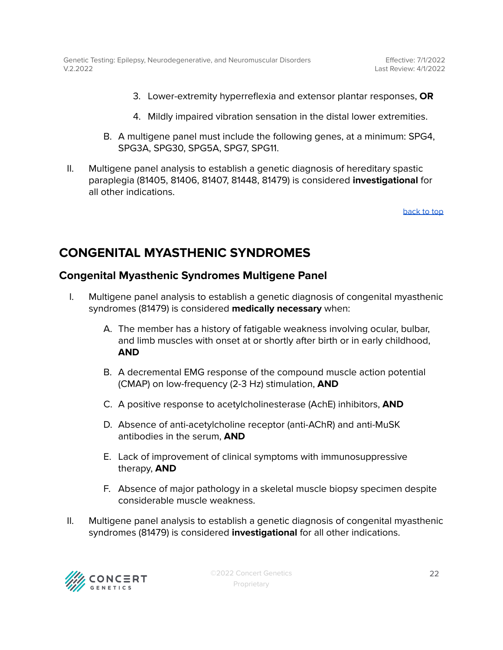- 3. Lower-extremity hyperreflexia and extensor plantar responses, **OR**
- 4. Mildly impaired vibration sensation in the distal lower extremities.
- B. A multigene panel must include the following genes, at a minimum: SPG4, SPG3A, SPG30, SPG5A, SPG7, SPG11.
- II. Multigene panel analysis to establish a genetic diagnosis of hereditary spastic paraplegia (81405, 81406, 81407, 81448, 81479) is considered **investigational** for all other indications.

### <span id="page-21-0"></span>**CONGENITAL MYASTHENIC SYNDROMES**

### <span id="page-21-1"></span>**Congenital Myasthenic Syndromes Multigene Panel**

- I. Multigene panel analysis to establish a genetic diagnosis of congenital myasthenic syndromes (81479) is considered **medically necessary** when:
	- A. The member has a history of fatigable weakness involving ocular, bulbar, and limb muscles with onset at or shortly after birth or in early childhood, **AND**
	- B. A decremental EMG response of the compound muscle action potential (CMAP) on low-frequency (2-3 Hz) stimulation, **AND**
	- C. A positive response to acetylcholinesterase (AchE) inhibitors, **AND**
	- D. Absence of anti-acetylcholine receptor (anti-AChR) and anti-MuSK antibodies in the serum, **AND**
	- E. Lack of improvement of clinical symptoms with immunosuppressive therapy, **AND**
	- F. Absence of major pathology in a skeletal muscle biopsy specimen despite considerable muscle weakness.
- II. Multigene panel analysis to establish a genetic diagnosis of congenital myasthenic syndromes (81479) is considered **investigational** for all other indications.

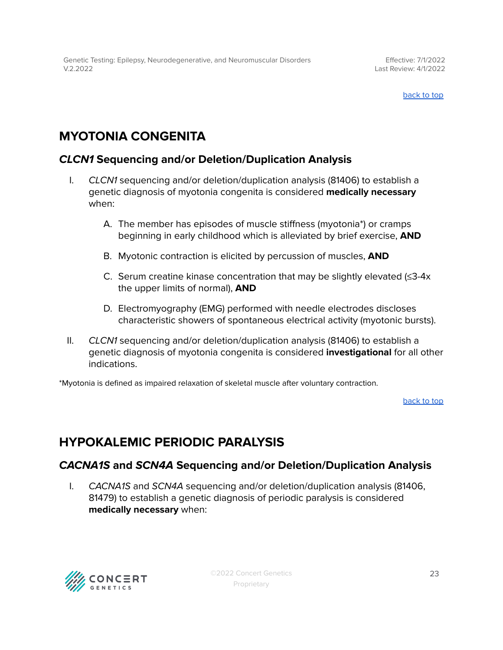# <span id="page-22-0"></span>**MYOTONIA CONGENITA**

### <span id="page-22-1"></span>**CLCN1 Sequencing and/or Deletion/Duplication Analysis**

- I. CLCN1 sequencing and/or deletion/duplication analysis (81406) to establish a genetic diagnosis of myotonia congenita is considered **medically necessary** when:
	- A. The member has episodes of muscle stiffness (myotonia\*) or cramps beginning in early childhood which is alleviated by brief exercise, **AND**
	- B. Myotonic contraction is elicited by percussion of muscles, **AND**
	- C. Serum creatine kinase concentration that may be slightly elevated (≤3-4x the upper limits of normal), **AND**
	- D. Electromyography (EMG) performed with needle electrodes discloses characteristic showers of spontaneous electrical activity (myotonic bursts).
- II. CLCN1 sequencing and/or deletion/duplication analysis (81406) to establish a genetic diagnosis of myotonia congenita is considered **investigational** for all other indications.

\*Myotonia is defined as impaired relaxation of skeletal muscle after voluntary contraction.

[back](#page-0-0) to top

# <span id="page-22-2"></span>**HYPOKALEMIC PERIODIC PARALYSIS**

### <span id="page-22-3"></span>**CACNA1S and SCN4A Sequencing and/or Deletion/Duplication Analysis**

I. CACNA1S and SCN4A sequencing and/or deletion/duplication analysis (81406, 81479) to establish a genetic diagnosis of periodic paralysis is considered **medically necessary** when:

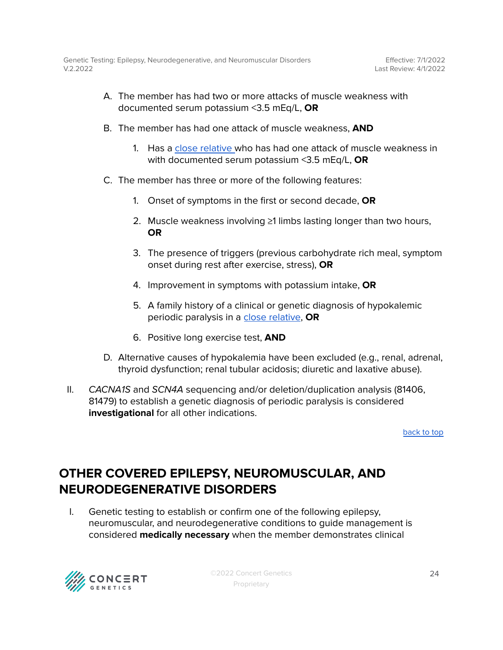- A. The member has had two or more attacks of muscle weakness with documented serum potassium <3.5 mEq/L, **OR**
- B. The member has had one attack of muscle weakness, **AND**
	- 1. Has a close [relative](#page-24-0) who has had one attack of muscle weakness in with documented serum potassium <3.5 mEq/L, **OR**
- C. The member has three or more of the following features:
	- 1. Onset of symptoms in the first or second decade, **OR**
	- 2. Muscle weakness involving ≥1 limbs lasting longer than two hours, **OR**
	- 3. The presence of triggers (previous carbohydrate rich meal, symptom onset during rest after exercise, stress), **OR**
	- 4. Improvement in symptoms with potassium intake, **OR**
	- 5. A family history of a clinical or genetic diagnosis of hypokalemic periodic paralysis in a close [relative](#page-24-0), **OR**
	- 6. Positive long exercise test, **AND**
- D. Alternative causes of hypokalemia have been excluded (e.g., renal, adrenal, thyroid dysfunction; renal tubular acidosis; diuretic and laxative abuse).
- II. CACNA1S and SCN4A sequencing and/or deletion/duplication analysis (81406, 81479) to establish a genetic diagnosis of periodic paralysis is considered **investigational** for all other indications.

## <span id="page-23-0"></span>**OTHER COVERED EPILEPSY, NEUROMUSCULAR, AND NEURODEGENERATIVE DISORDERS**

I. Genetic testing to establish or confirm one of the following epilepsy, neuromuscular, and neurodegenerative conditions to guide management is considered **medically necessary** when the member demonstrates clinical

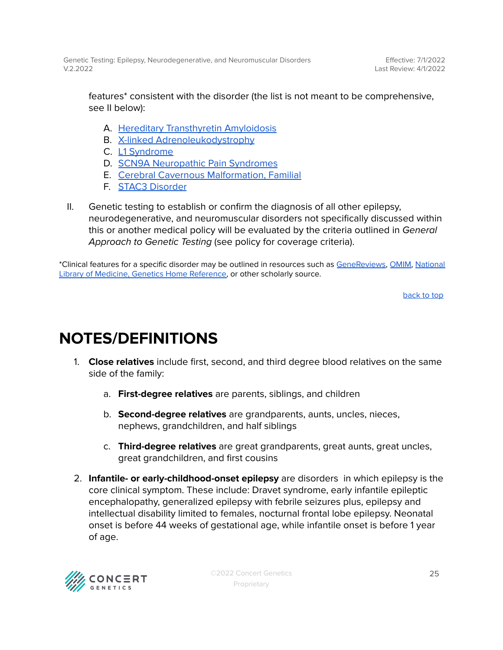features\* consistent with the disorder (the list is not meant to be comprehensive, see II below):

- A. Hereditary [Transthyretin](https://www.ncbi.nlm.nih.gov/books/NBK1194/) Amyloidosis
- B. X-linked [Adrenoleukodystrophy](https://www.ncbi.nlm.nih.gov/books/NBK1315/)
- C. L1 [Syndrome](https://www.ncbi.nlm.nih.gov/books/NBK1484/)
- D. SCN9A [Neuropathic](https://www.ncbi.nlm.nih.gov/books/NBK1163/) Pain Syndromes
- E. Cerebral Cavernous [Malformation,](https://www.ncbi.nlm.nih.gov/books/NBK1293/) Familial
- F. STAC3 [Disorder](https://www.ncbi.nlm.nih.gov/books/NBK542808/)
- II. Genetic testing to establish or confirm the diagnosis of all other epilepsy, neurodegenerative, and neuromuscular disorders not specifically discussed within this or another medical policy will be evaluated by the criteria outlined in General Approach to Genetic Testing (see policy for coverage criteria).

\*Clinical features for a specific disorder may be outlined in resources such as [GeneReviews,](https://www.ncbi.nlm.nih.gov/books/NBK1116/) [OMIM,](https://www.omim.org/) [National](https://medlineplus.gov/genetics/) Library of Medicine, Genetics Home [Reference,](https://medlineplus.gov/genetics/) or other scholarly source.

[back](#page-0-0) to top

# <span id="page-24-0"></span>**NOTES/DEFINITIONS**

- 1. **Close relatives** include first, second, and third degree blood relatives on the same side of the family:
	- a. **First-degree relatives** are parents, siblings, and children
	- b. **Second-degree relatives** are grandparents, aunts, uncles, nieces, nephews, grandchildren, and half siblings
	- c. **Third-degree relatives** are great grandparents, great aunts, great uncles, great grandchildren, and first cousins
- 2. **Infantile- or early-childhood-onset epilepsy** are disorders in which epilepsy is the core clinical symptom. These include: Dravet syndrome, early infantile epileptic encephalopathy, generalized epilepsy with febrile seizures plus, epilepsy and intellectual disability limited to females, nocturnal frontal lobe epilepsy. Neonatal onset is before 44 weeks of gestational age, while infantile onset is before 1 year of age.

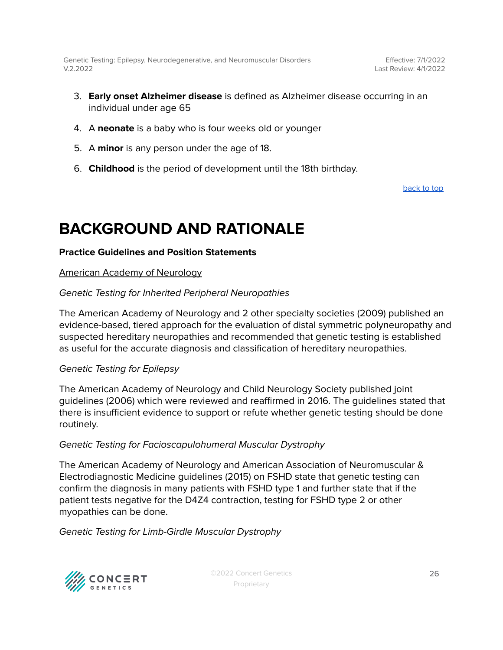Effective: 7/1/2022 Last Review: 4/1/2022

- 3. **Early onset Alzheimer disease** is defined as Alzheimer disease occurring in an individual under age 65
- 4. A **neonate** is a baby who is four weeks old or younger
- 5. A **minor** is any person under the age of 18.
- 6. **Childhood** is the period of development until the 18th birthday.

[back](#page-0-0) to top

# **BACKGROUND AND RATIONALE**

#### **Practice Guidelines and Position Statements**

American Academy of Neurology

#### Genetic Testing for Inherited Peripheral Neuropathies

The American Academy of Neurology and 2 other specialty societies (2009) published an evidence-based, tiered approach for the evaluation of distal symmetric polyneuropathy and suspected hereditary neuropathies and recommended that genetic testing is established as useful for the accurate diagnosis and classification of hereditary neuropathies.

#### Genetic Testing for Epilepsy

The American Academy of Neurology and Child Neurology Society published joint guidelines (2006) which were reviewed and reaffirmed in 2016. The guidelines stated that there is insufficient evidence to support or refute whether genetic testing should be done routinely.

#### Genetic Testing for Facioscapulohumeral Muscular Dystrophy

The American Academy of Neurology and American Association of Neuromuscular & Electrodiagnostic Medicine guidelines (2015) on FSHD state that genetic testing can confirm the diagnosis in many patients with FSHD type 1 and further state that if the patient tests negative for the D4Z4 contraction, testing for FSHD type 2 or other myopathies can be done.

Genetic Testing for Limb-Girdle Muscular Dystrophy

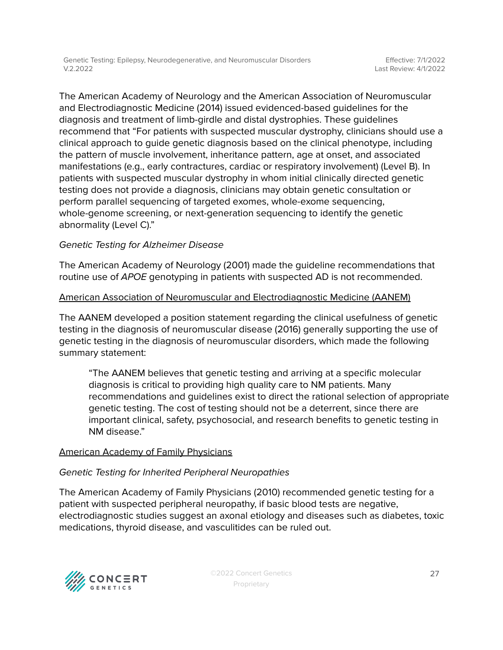The American Academy of Neurology and the American Association of Neuromuscular and Electrodiagnostic Medicine (2014) issued evidenced-based guidelines for the diagnosis and treatment of limb-girdle and distal dystrophies. These guidelines recommend that "For patients with suspected muscular dystrophy, clinicians should use a clinical approach to guide genetic diagnosis based on the clinical phenotype, including the pattern of muscle involvement, inheritance pattern, age at onset, and associated manifestations (e.g., early contractures, cardiac or respiratory involvement) (Level B). In patients with suspected muscular dystrophy in whom initial clinically directed genetic testing does not provide a diagnosis, clinicians may obtain genetic consultation or perform parallel sequencing of targeted exomes, whole-exome sequencing, whole-genome screening, or next-generation sequencing to identify the genetic abnormality (Level C)."

### Genetic Testing for Alzheimer Disease

The American Academy of Neurology (2001) made the guideline recommendations that routine use of APOE genotyping in patients with suspected AD is not recommended.

#### American Association of Neuromuscular and Electrodiagnostic Medicine (AANEM)

The AANEM developed a position statement regarding the clinical usefulness of genetic testing in the diagnosis of neuromuscular disease (2016) generally supporting the use of genetic testing in the diagnosis of neuromuscular disorders, which made the following summary statement:

"The AANEM believes that genetic testing and arriving at a specific molecular diagnosis is critical to providing high quality care to NM patients. Many recommendations and guidelines exist to direct the rational selection of appropriate genetic testing. The cost of testing should not be a deterrent, since there are important clinical, safety, psychosocial, and research benefits to genetic testing in NM disease."

#### American Academy of Family Physicians

#### Genetic Testing for Inherited Peripheral Neuropathies

The American Academy of Family Physicians (2010) recommended genetic testing for a patient with suspected peripheral neuropathy, if basic blood tests are negative, electrodiagnostic studies suggest an axonal etiology and diseases such as diabetes, toxic medications, thyroid disease, and vasculitides can be ruled out.

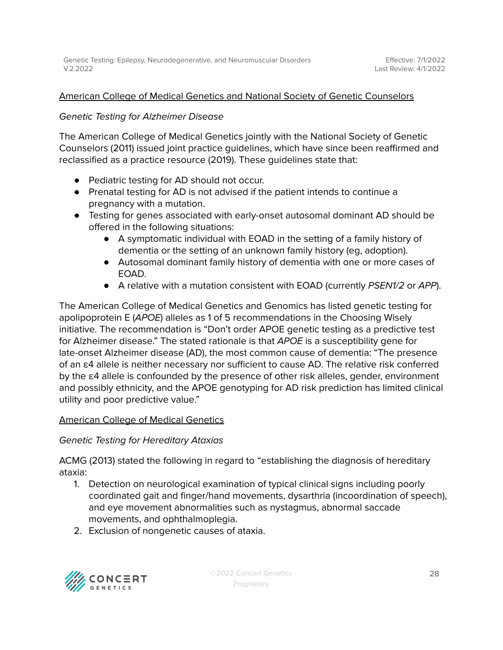#### American College of Medical Genetics and National Society of Genetic Counselors

#### Genetic Testing for Alzheimer Disease

The American College of Medical Genetics jointly with the National Society of Genetic Counselors (2011) issued joint practice guidelines, which have since been reaffirmed and reclassified as a practice resource (2019). These guidelines state that:

- Pediatric testing for AD should not occur.
- Prenatal testing for AD is not advised if the patient intends to continue a pregnancy with a mutation.
- Testing for genes associated with early-onset autosomal dominant AD should be offered in the following situations:
	- A symptomatic individual with EOAD in the setting of a family history of dementia or the setting of an unknown family history (eg, adoption).
	- Autosomal dominant family history of dementia with one or more cases of EOAD.
	- A relative with a mutation consistent with EOAD (currently PSEN1/2 or APP).

The American College of Medical Genetics and Genomics has listed genetic testing for apolipoprotein E (APOE) alleles as 1 of 5 recommendations in the Choosing Wisely initiative. The recommendation is "Don't order APOE genetic testing as a predictive test for Alzheimer disease." The stated rationale is that APOE is a susceptibility gene for late-onset Alzheimer disease (AD), the most common cause of dementia: "The presence of an ε4 allele is neither necessary nor sufficient to cause AD. The relative risk conferred by the ε4 allele is confounded by the presence of other risk alleles, gender, environment and possibly ethnicity, and the APOE genotyping for AD risk prediction has limited clinical utility and poor predictive value."

#### American College of Medical Genetics

#### Genetic Testing for Hereditary Ataxias

ACMG (2013) stated the following in regard to "establishing the diagnosis of hereditary ataxia:

- 1. Detection on neurological examination of typical clinical signs including poorly coordinated gait and finger/hand movements, dysarthria (incoordination of speech), and eye movement abnormalities such as nystagmus, abnormal saccade movements, and ophthalmoplegia.
- 2. Exclusion of nongenetic causes of ataxia.

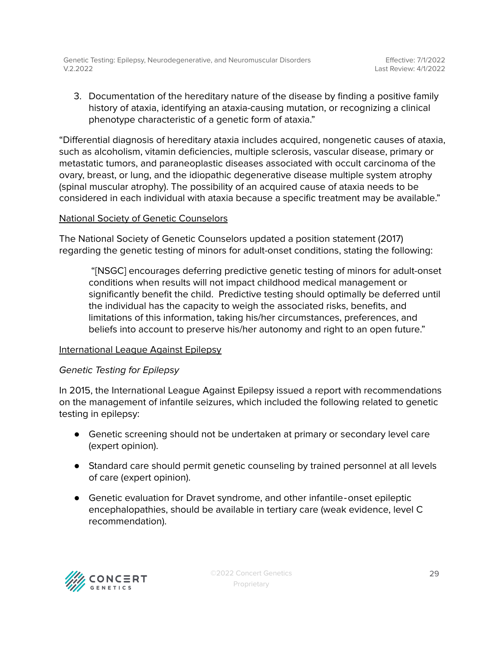3. Documentation of the hereditary nature of the disease by finding a positive family history of ataxia, identifying an ataxia-causing mutation, or recognizing a clinical phenotype characteristic of a genetic form of ataxia."

"Differential diagnosis of hereditary ataxia includes acquired, nongenetic causes of ataxia, such as alcoholism, vitamin deficiencies, multiple sclerosis, vascular disease, primary or metastatic tumors, and paraneoplastic diseases associated with occult carcinoma of the ovary, breast, or lung, and the idiopathic degenerative disease multiple system atrophy (spinal muscular atrophy). The possibility of an acquired cause of ataxia needs to be considered in each individual with ataxia because a specific treatment may be available."

#### National Society of Genetic Counselors

The National Society of Genetic Counselors updated a position statement (2017) regarding the genetic testing of minors for adult-onset conditions, stating the following:

"[NSGC] encourages deferring predictive genetic testing of minors for adult-onset conditions when results will not impact childhood medical management or significantly benefit the child. Predictive testing should optimally be deferred until the individual has the capacity to weigh the associated risks, benefits, and limitations of this information, taking his/her circumstances, preferences, and beliefs into account to preserve his/her autonomy and right to an open future."

#### International League Against Epilepsy

#### Genetic Testing for Epilepsy

In 2015, the International League Against Epilepsy issued a report with recommendations on the management of infantile seizures, which included the following related to genetic testing in epilepsy:

- Genetic screening should not be undertaken at primary or secondary level care (expert opinion).
- Standard care should permit genetic counseling by trained personnel at all levels of care (expert opinion).
- Genetic evaluation for Dravet syndrome, and other infantile-onset epileptic encephalopathies, should be available in tertiary care (weak evidence, level C recommendation).

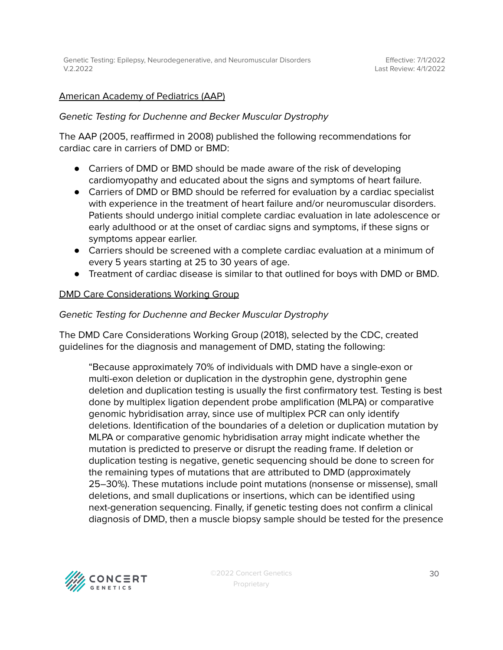#### American Academy of Pediatrics (AAP)

#### Genetic Testing for Duchenne and Becker Muscular Dystrophy

The AAP (2005, reaffirmed in 2008) published the following recommendations for cardiac care in carriers of DMD or BMD:

- Carriers of DMD or BMD should be made aware of the risk of developing cardiomyopathy and educated about the signs and symptoms of heart failure.
- Carriers of DMD or BMD should be referred for evaluation by a cardiac specialist with experience in the treatment of heart failure and/or neuromuscular disorders. Patients should undergo initial complete cardiac evaluation in late adolescence or early adulthood or at the onset of cardiac signs and symptoms, if these signs or symptoms appear earlier.
- Carriers should be screened with a complete cardiac evaluation at a minimum of every 5 years starting at 25 to 30 years of age.
- Treatment of cardiac disease is similar to that outlined for boys with DMD or BMD.

#### DMD Care Considerations Working Group

#### Genetic Testing for Duchenne and Becker Muscular Dystrophy

The DMD Care Considerations Working Group (2018), selected by the CDC, created guidelines for the diagnosis and management of DMD, stating the following:

"Because approximately 70% of individuals with DMD have a single-exon or multi-exon deletion or duplication in the dystrophin gene, dystrophin gene deletion and duplication testing is usually the first confirmatory test. Testing is best done by multiplex ligation dependent probe amplification (MLPA) or comparative genomic hybridisation array, since use of multiplex PCR can only identify deletions. Identification of the boundaries of a deletion or duplication mutation by MLPA or comparative genomic hybridisation array might indicate whether the mutation is predicted to preserve or disrupt the reading frame. If deletion or duplication testing is negative, genetic sequencing should be done to screen for the remaining types of mutations that are attributed to DMD (approximately 25–30%). These mutations include point mutations (nonsense or missense), small deletions, and small duplications or insertions, which can be identified using next-generation sequencing. Finally, if genetic testing does not confirm a clinical diagnosis of DMD, then a muscle biopsy sample should be tested for the presence

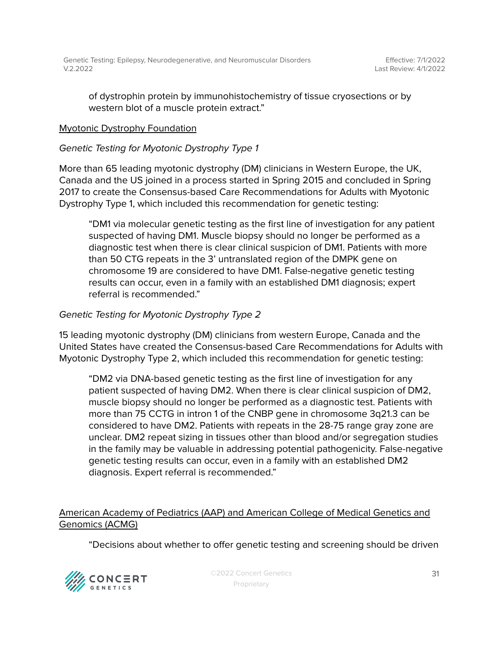of dystrophin protein by immunohistochemistry of tissue cryosections or by western blot of a muscle protein extract."

### Myotonic Dystrophy Foundation

### Genetic Testing for Myotonic Dystrophy Type 1

More than 65 leading myotonic dystrophy (DM) clinicians in Western Europe, the UK, Canada and the US joined in a process started in Spring 2015 and concluded in Spring 2017 to create the Consensus-based Care Recommendations for Adults with Myotonic Dystrophy Type 1, which included this recommendation for genetic testing:

"DM1 via molecular genetic testing as the first line of investigation for any patient suspected of having DM1. Muscle biopsy should no longer be performed as a diagnostic test when there is clear clinical suspicion of DM1. Patients with more than 50 CTG repeats in the 3' untranslated region of the DMPK gene on chromosome 19 are considered to have DM1. False-negative genetic testing results can occur, even in a family with an established DM1 diagnosis; expert referral is recommended."

### Genetic Testing for Myotonic Dystrophy Type 2

15 leading myotonic dystrophy (DM) clinicians from western Europe, Canada and the United States have created the Consensus-based Care Recommendations for Adults with Myotonic Dystrophy Type 2, which included this recommendation for genetic testing:

"DM2 via DNA-based genetic testing as the first line of investigation for any patient suspected of having DM2. When there is clear clinical suspicion of DM2, muscle biopsy should no longer be performed as a diagnostic test. Patients with more than 75 CCTG in intron 1 of the CNBP gene in chromosome 3q21.3 can be considered to have DM2. Patients with repeats in the 28-75 range gray zone are unclear. DM2 repeat sizing in tissues other than blood and/or segregation studies in the family may be valuable in addressing potential pathogenicity. False-negative genetic testing results can occur, even in a family with an established DM2 diagnosis. Expert referral is recommended."

### American Academy of Pediatrics (AAP) and American College of Medical Genetics and Genomics (ACMG)

"Decisions about whether to offer genetic testing and screening should be driven



©2022 Concert Genetics Proprietary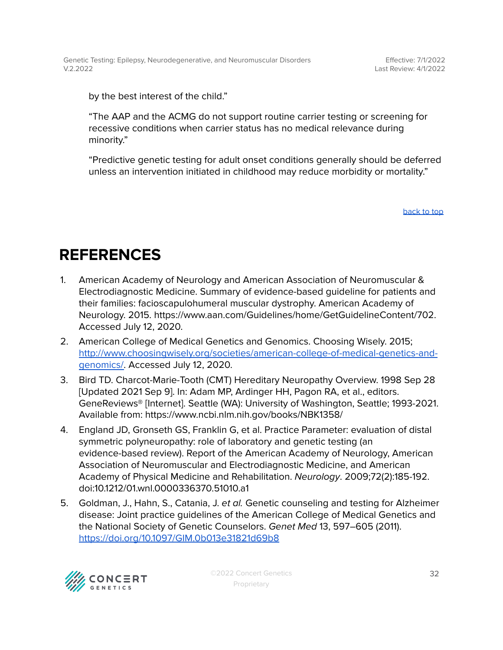Effective: 7/1/2022 Last Review: 4/1/2022

by the best interest of the child."

"The AAP and the ACMG do not support routine carrier testing or screening for recessive conditions when carrier status has no medical relevance during minority."

"Predictive genetic testing for adult onset conditions generally should be deferred unless an intervention initiated in childhood may reduce morbidity or mortality."

[back](#page-0-0) to top

# <span id="page-31-0"></span>**REFERENCES**

- 1. American Academy of Neurology and American Association of Neuromuscular & Electrodiagnostic Medicine. Summary of evidence-based guideline for patients and their families: facioscapulohumeral muscular dystrophy. American Academy of Neurology. 2015. https://www.aan.com/Guidelines/home/GetGuidelineContent/702. Accessed July 12, 2020.
- 2. American College of Medical Genetics and Genomics. Choosing Wisely. 2015; [http://www.choosingwisely.org/societies/american-college-of-medical-genetics-and](http://www.choosingwisely.org/societies/american-college-of-medical-genetics-and-genomics/)[genomics/.](http://www.choosingwisely.org/societies/american-college-of-medical-genetics-and-genomics/) Accessed July 12, 2020.
- 3. Bird TD. Charcot-Marie-Tooth (CMT) Hereditary Neuropathy Overview. 1998 Sep 28 [Updated 2021 Sep 9]. In: Adam MP, Ardinger HH, Pagon RA, et al., editors. GeneReviews® [Internet]. Seattle (WA): University of Washington, Seattle; 1993-2021. Available from: https://www.ncbi.nlm.nih.gov/books/NBK1358/
- 4. England JD, Gronseth GS, Franklin G, et al. Practice Parameter: evaluation of distal symmetric polyneuropathy: role of laboratory and genetic testing (an evidence-based review). Report of the American Academy of Neurology, American Association of Neuromuscular and Electrodiagnostic Medicine, and American Academy of Physical Medicine and Rehabilitation. Neurology. 2009;72(2):185-192. doi:10.1212/01.wnl.0000336370.51010.a1
- 5. Goldman, J., Hahn, S., Catania, J. et al. Genetic counseling and testing for Alzheimer disease: Joint practice guidelines of the American College of Medical Genetics and the National Society of Genetic Counselors. Genet Med 13, 597–605 (2011). <https://doi.org/10.1097/GIM.0b013e31821d69b8>

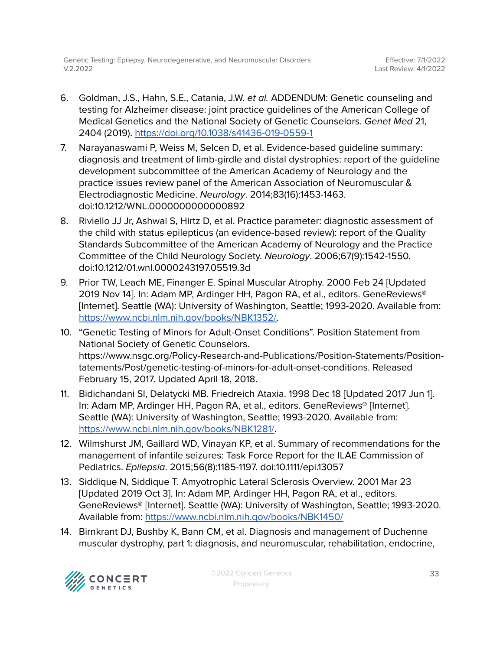- 6. Goldman, J.S., Hahn, S.E., Catania, J.W. et al. ADDENDUM: Genetic counseling and testing for Alzheimer disease: joint practice guidelines of the American College of Medical Genetics and the National Society of Genetic Counselors. Genet Med 21, 2404 (2019). <https://doi.org/10.1038/s41436-019-0559-1>
- 7. Narayanaswami P, Weiss M, Selcen D, et al. Evidence-based guideline summary: diagnosis and treatment of limb-girdle and distal dystrophies: report of the guideline development subcommittee of the American Academy of Neurology and the practice issues review panel of the American Association of Neuromuscular & Electrodiagnostic Medicine. Neurology. 2014;83(16):1453-1463. doi:10.1212/WNL.0000000000000892
- 8. Riviello JJ Jr, Ashwal S, Hirtz D, et al. Practice parameter: diagnostic assessment of the child with status epilepticus (an evidence-based review): report of the Quality Standards Subcommittee of the American Academy of Neurology and the Practice Committee of the Child Neurology Society. Neurology. 2006;67(9):1542-1550. doi:10.1212/01.wnl.0000243197.05519.3d
- 9. Prior TW, Leach ME, Finanger E. Spinal Muscular Atrophy. 2000 Feb 24 [Updated 2019 Nov 14]. In: Adam MP, Ardinger HH, Pagon RA, et al., editors. GeneReviews® [Internet]. Seattle (WA): University of Washington, Seattle; 1993-2020. Available from: [https://www.ncbi.nlm.nih.gov/books/NBK1352/.](https://www.ncbi.nlm.nih.gov/books/NBK1352/)
- 10. "Genetic Testing of Minors for Adult-Onset Conditions". Position Statement from National Society of Genetic Counselors. https://www.nsgc.org/Policy-Research-and-Publications/Position-Statements/Positiontatements/Post/genetic-testing-of-minors-for-adult-onset-conditions. Released February 15, 2017. Updated April 18, 2018.
- 11. Bidichandani SI, Delatycki MB. Friedreich Ataxia. 1998 Dec 18 [Updated 2017 Jun 1]. In: Adam MP, Ardinger HH, Pagon RA, et al., editors. GeneReviews® [Internet]. Seattle (WA): University of Washington, Seattle; 1993-2020. Available from: <https://www.ncbi.nlm.nih.gov/books/NBK1281/>.
- 12. Wilmshurst JM, Gaillard WD, Vinayan KP, et al. Summary of recommendations for the management of infantile seizures: Task Force Report for the ILAE Commission of Pediatrics. Epilepsia. 2015;56(8):1185-1197. doi:10.1111/epi.13057
- 13. Siddique N, Siddique T. Amyotrophic Lateral Sclerosis Overview. 2001 Mar 23 [Updated 2019 Oct 3]. In: Adam MP, Ardinger HH, Pagon RA, et al., editors. GeneReviews® [Internet]. Seattle (WA): University of Washington, Seattle; 1993-2020. Available from: <https://www.ncbi.nlm.nih.gov/books/NBK1450/>
- 14. Birnkrant DJ, Bushby K, Bann CM, et al. Diagnosis and management of Duchenne muscular dystrophy, part 1: diagnosis, and neuromuscular, rehabilitation, endocrine,

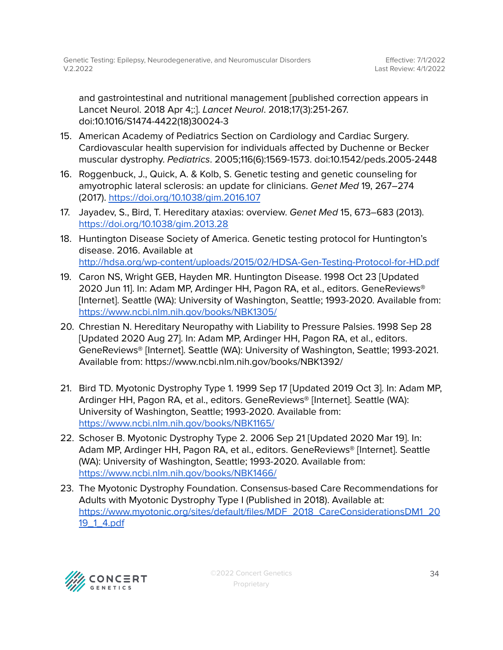and gastrointestinal and nutritional management [published correction appears in Lancet Neurol. 2018 Apr 4;:]. Lancet Neurol. 2018;17(3):251-267. doi:10.1016/S1474-4422(18)30024-3

- 15. American Academy of Pediatrics Section on Cardiology and Cardiac Surgery. Cardiovascular health supervision for individuals affected by Duchenne or Becker muscular dystrophy. Pediatrics. 2005;116(6):1569-1573. doi:10.1542/peds.2005-2448
- 16. Roggenbuck, J., Quick, A. & Kolb, S. Genetic testing and genetic counseling for amyotrophic lateral sclerosis: an update for clinicians. Genet Med 19, 267–274 (2017). <https://doi.org/10.1038/gim.2016.107>
- 17. Jayadev, S., Bird, T. Hereditary ataxias: overview. Genet Med 15, 673–683 (2013). <https://doi.org/10.1038/gim.2013.28>
- 18. Huntington Disease Society of America. Genetic testing protocol for Huntington's disease. 2016. Available at <http://hdsa.org/wp-content/uploads/2015/02/HDSA-Gen-Testing-Protocol-for-HD.pdf>
- 19. Caron NS, Wright GEB, Hayden MR. Huntington Disease. 1998 Oct 23 [Updated 2020 Jun 11]. In: Adam MP, Ardinger HH, Pagon RA, et al., editors. GeneReviews® [Internet]. Seattle (WA): University of Washington, Seattle; 1993-2020. Available from: <https://www.ncbi.nlm.nih.gov/books/NBK1305/>
- 20. Chrestian N. Hereditary Neuropathy with Liability to Pressure Palsies. 1998 Sep 28 [Updated 2020 Aug 27]. In: Adam MP, Ardinger HH, Pagon RA, et al., editors. GeneReviews® [Internet]. Seattle (WA): University of Washington, Seattle; 1993-2021. Available from: https://www.ncbi.nlm.nih.gov/books/NBK1392/
- 21. Bird TD. Myotonic Dystrophy Type 1. 1999 Sep 17 [Updated 2019 Oct 3]. In: Adam MP, Ardinger HH, Pagon RA, et al., editors. GeneReviews® [Internet]. Seattle (WA): University of Washington, Seattle; 1993-2020. Available from: <https://www.ncbi.nlm.nih.gov/books/NBK1165/>
- 22. Schoser B. Myotonic Dystrophy Type 2. 2006 Sep 21 [Updated 2020 Mar 19]. In: Adam MP, Ardinger HH, Pagon RA, et al., editors. GeneReviews® [Internet]. Seattle (WA): University of Washington, Seattle; 1993-2020. Available from: <https://www.ncbi.nlm.nih.gov/books/NBK1466/>
- 23. The Myotonic Dystrophy Foundation. Consensus-based Care Recommendations for Adults with Myotonic Dystrophy Type I (Published in 2018). Available at: [https://www.myotonic.org/sites/default/files/MDF\\_2018\\_CareConsiderationsDM1\\_20](https://www.myotonic.org/sites/default/files/MDF_2018_CareConsiderationsDM1_2019_1_4.pdf) [19\\_1\\_4.pdf](https://www.myotonic.org/sites/default/files/MDF_2018_CareConsiderationsDM1_2019_1_4.pdf)

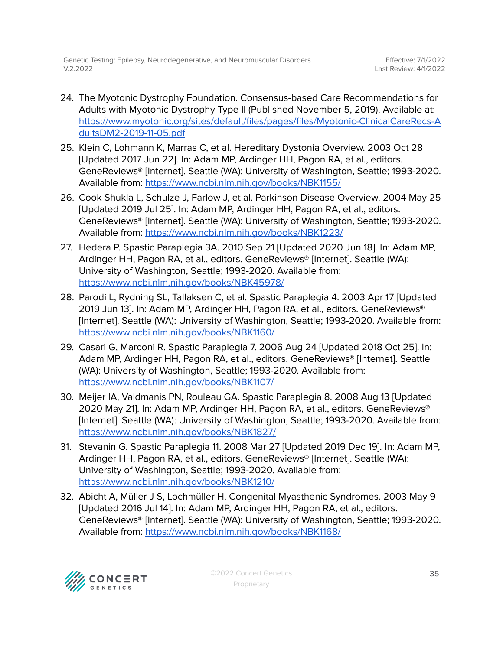- 24. The Myotonic Dystrophy Foundation. Consensus-based Care Recommendations for Adults with Myotonic Dystrophy Type II (Published November 5, 2019). Available at: [https://www.myotonic.org/sites/default/files/pages/files/Myotonic-ClinicalCareRecs-A](https://www.myotonic.org/sites/default/files/pages/files/Myotonic-ClinicalCareRecs-AdultsDM2-2019-11-05.pdf) [dultsDM2-2019-11-05.pdf](https://www.myotonic.org/sites/default/files/pages/files/Myotonic-ClinicalCareRecs-AdultsDM2-2019-11-05.pdf)
- 25. Klein C, Lohmann K, Marras C, et al. Hereditary Dystonia Overview. 2003 Oct 28 [Updated 2017 Jun 22]. In: Adam MP, Ardinger HH, Pagon RA, et al., editors. GeneReviews® [Internet]. Seattle (WA): University of Washington, Seattle; 1993-2020. Available from: <https://www.ncbi.nlm.nih.gov/books/NBK1155/>
- 26. Cook Shukla L, Schulze J, Farlow J, et al. Parkinson Disease Overview. 2004 May 25 [Updated 2019 Jul 25]. In: Adam MP, Ardinger HH, Pagon RA, et al., editors. GeneReviews® [Internet]. Seattle (WA): University of Washington, Seattle; 1993-2020. Available from: <https://www.ncbi.nlm.nih.gov/books/NBK1223/>
- 27. Hedera P. Spastic Paraplegia 3A. 2010 Sep 21 [Updated 2020 Jun 18]. In: Adam MP, Ardinger HH, Pagon RA, et al., editors. GeneReviews® [Internet]. Seattle (WA): University of Washington, Seattle; 1993-2020. Available from: <https://www.ncbi.nlm.nih.gov/books/NBK45978/>
- 28. Parodi L, Rydning SL, Tallaksen C, et al. Spastic Paraplegia 4. 2003 Apr 17 [Updated 2019 Jun 13]. In: Adam MP, Ardinger HH, Pagon RA, et al., editors. GeneReviews® [Internet]. Seattle (WA): University of Washington, Seattle; 1993-2020. Available from: <https://www.ncbi.nlm.nih.gov/books/NBK1160/>
- 29. Casari G, Marconi R. Spastic Paraplegia 7. 2006 Aug 24 [Updated 2018 Oct 25]. In: Adam MP, Ardinger HH, Pagon RA, et al., editors. GeneReviews® [Internet]. Seattle (WA): University of Washington, Seattle; 1993-2020. Available from: <https://www.ncbi.nlm.nih.gov/books/NBK1107/>
- 30. Meijer IA, Valdmanis PN, Rouleau GA. Spastic Paraplegia 8. 2008 Aug 13 [Updated 2020 May 21]. In: Adam MP, Ardinger HH, Pagon RA, et al., editors. GeneReviews® [Internet]. Seattle (WA): University of Washington, Seattle; 1993-2020. Available from: <https://www.ncbi.nlm.nih.gov/books/NBK1827/>
- 31. Stevanin G. Spastic Paraplegia 11. 2008 Mar 27 [Updated 2019 Dec 19]. In: Adam MP, Ardinger HH, Pagon RA, et al., editors. GeneReviews® [Internet]. Seattle (WA): University of Washington, Seattle; 1993-2020. Available from: <https://www.ncbi.nlm.nih.gov/books/NBK1210/>
- 32. Abicht A, Müller J S, Lochmüller H. Congenital Myasthenic Syndromes. 2003 May 9 [Updated 2016 Jul 14]. In: Adam MP, Ardinger HH, Pagon RA, et al., editors. GeneReviews® [Internet]. Seattle (WA): University of Washington, Seattle; 1993-2020. Available from: <https://www.ncbi.nlm.nih.gov/books/NBK1168/>

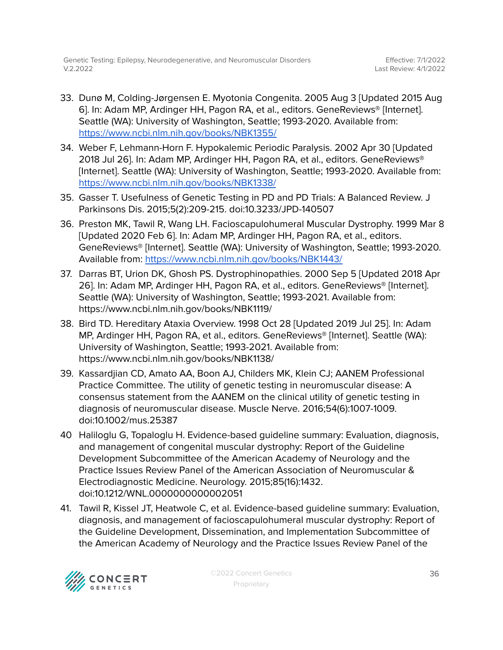- 33. Dunø M, Colding-Jørgensen E. Myotonia Congenita. 2005 Aug 3 [Updated 2015 Aug 6]. In: Adam MP, Ardinger HH, Pagon RA, et al., editors. GeneReviews® [Internet]. Seattle (WA): University of Washington, Seattle; 1993-2020. Available from: <https://www.ncbi.nlm.nih.gov/books/NBK1355/>
- 34. Weber F, Lehmann-Horn F. Hypokalemic Periodic Paralysis. 2002 Apr 30 [Updated 2018 Jul 26]. In: Adam MP, Ardinger HH, Pagon RA, et al., editors. GeneReviews® [Internet]. Seattle (WA): University of Washington, Seattle; 1993-2020. Available from: <https://www.ncbi.nlm.nih.gov/books/NBK1338/>
- 35. Gasser T. Usefulness of Genetic Testing in PD and PD Trials: A Balanced Review. J Parkinsons Dis. 2015;5(2):209-215. doi:10.3233/JPD-140507
- 36. Preston MK, Tawil R, Wang LH. Facioscapulohumeral Muscular Dystrophy. 1999 Mar 8 [Updated 2020 Feb 6]. In: Adam MP, Ardinger HH, Pagon RA, et al., editors. GeneReviews® [Internet]. Seattle (WA): University of Washington, Seattle; 1993-2020. Available from: <https://www.ncbi.nlm.nih.gov/books/NBK1443/>
- 37. Darras BT, Urion DK, Ghosh PS. Dystrophinopathies. 2000 Sep 5 [Updated 2018 Apr 26]. In: Adam MP, Ardinger HH, Pagon RA, et al., editors. GeneReviews® [Internet]. Seattle (WA): University of Washington, Seattle; 1993-2021. Available from: https://www.ncbi.nlm.nih.gov/books/NBK1119/
- 38. Bird TD. Hereditary Ataxia Overview. 1998 Oct 28 [Updated 2019 Jul 25]. In: Adam MP, Ardinger HH, Pagon RA, et al., editors. GeneReviews® [Internet]. Seattle (WA): University of Washington, Seattle; 1993-2021. Available from: https://www.ncbi.nlm.nih.gov/books/NBK1138/
- 39. Kassardjian CD, Amato AA, Boon AJ, Childers MK, Klein CJ; AANEM Professional Practice Committee. The utility of genetic testing in neuromuscular disease: A consensus statement from the AANEM on the clinical utility of genetic testing in diagnosis of neuromuscular disease. Muscle Nerve. 2016;54(6):1007-1009. doi:10.1002/mus.25387
- 40 Haliloglu G, Topaloglu H. Evidence-based guideline summary: Evaluation, diagnosis, and management of congenital muscular dystrophy: Report of the Guideline Development Subcommittee of the American Academy of Neurology and the Practice Issues Review Panel of the American Association of Neuromuscular & Electrodiagnostic Medicine. Neurology. 2015;85(16):1432. doi:10.1212/WNL.0000000000002051
- 41. Tawil R, Kissel JT, Heatwole C, et al. Evidence-based guideline summary: Evaluation, diagnosis, and management of facioscapulohumeral muscular dystrophy: Report of the Guideline Development, Dissemination, and Implementation Subcommittee of the American Academy of Neurology and the Practice Issues Review Panel of the

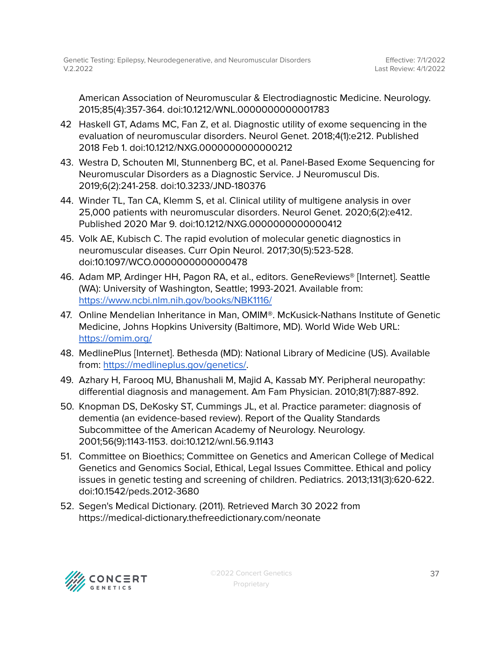American Association of Neuromuscular & Electrodiagnostic Medicine. Neurology. 2015;85(4):357-364. doi:10.1212/WNL.0000000000001783

- 42 Haskell GT, Adams MC, Fan Z, et al. Diagnostic utility of exome sequencing in the evaluation of neuromuscular disorders. Neurol Genet. 2018;4(1):e212. Published 2018 Feb 1. doi:10.1212/NXG.0000000000000212
- 43. Westra D, Schouten MI, Stunnenberg BC, et al. Panel-Based Exome Sequencing for Neuromuscular Disorders as a Diagnostic Service. J Neuromuscul Dis. 2019;6(2):241-258. doi:10.3233/JND-180376
- 44. Winder TL, Tan CA, Klemm S, et al. Clinical utility of multigene analysis in over 25,000 patients with neuromuscular disorders. Neurol Genet. 2020;6(2):e412. Published 2020 Mar 9. doi:10.1212/NXG.0000000000000412
- 45. Volk AE, Kubisch C. The rapid evolution of molecular genetic diagnostics in neuromuscular diseases. Curr Opin Neurol. 2017;30(5):523-528. doi:10.1097/WCO.0000000000000478
- 46. Adam MP, Ardinger HH, Pagon RA, et al., editors. GeneReviews® [Internet]. Seattle (WA): University of Washington, Seattle; 1993-2021. Available from: <https://www.ncbi.nlm.nih.gov/books/NBK1116/>
- 47. Online Mendelian Inheritance in Man, OMIM®. McKusick-Nathans Institute of Genetic Medicine, Johns Hopkins University (Baltimore, MD). World Wide Web URL: <https://omim.org/>
- 48. MedlinePlus [Internet]. Bethesda (MD): National Library of Medicine (US). Available from: [https://medlineplus.gov/genetics/.](https://medlineplus.gov/genetics/)
- 49. Azhary H, Farooq MU, Bhanushali M, Majid A, Kassab MY. Peripheral neuropathy: differential diagnosis and management. Am Fam Physician. 2010;81(7):887-892.
- 50. Knopman DS, DeKosky ST, Cummings JL, et al. Practice parameter: diagnosis of dementia (an evidence-based review). Report of the Quality Standards Subcommittee of the American Academy of Neurology. Neurology. 2001;56(9):1143-1153. doi:10.1212/wnl.56.9.1143
- 51. Committee on Bioethics; Committee on Genetics and American College of Medical Genetics and Genomics Social, Ethical, Legal Issues Committee. Ethical and policy issues in genetic testing and screening of children. Pediatrics. 2013;131(3):620-622. doi:10.1542/peds.2012-3680
- 52. Segen's Medical Dictionary. (2011). Retrieved March 30 2022 from https://medical-dictionary.thefreedictionary.com/neonate